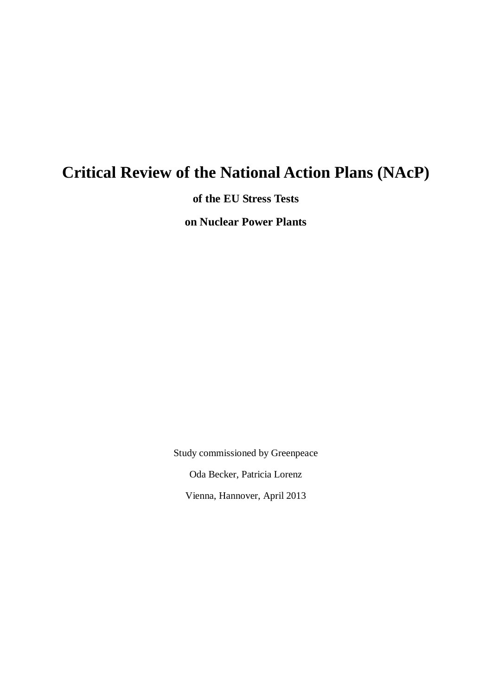# **Critical Review of the National Action Plans (NAcP)**

**of the EU Stress Tests**

**on Nuclear Power Plants**

Study commissioned by Greenpeace Oda Becker, Patricia Lorenz Vienna, Hannover, April 2013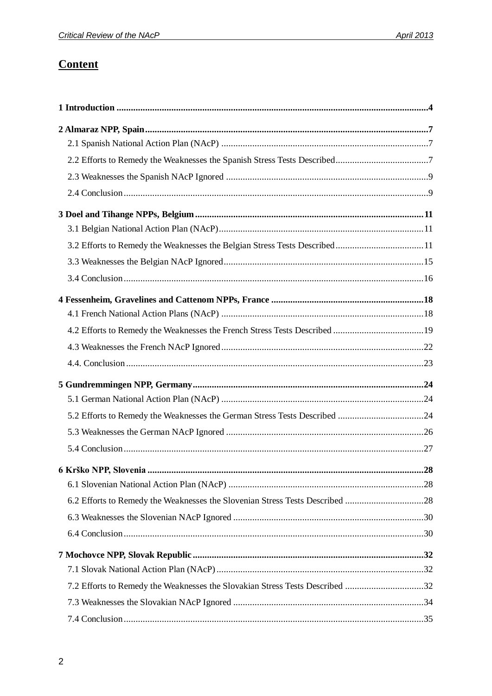# **Content**

| 3.2 Efforts to Remedy the Weaknesses the Belgian Stress Tests Described11    |     |
|------------------------------------------------------------------------------|-----|
|                                                                              |     |
|                                                                              |     |
|                                                                              |     |
|                                                                              |     |
|                                                                              |     |
|                                                                              |     |
|                                                                              |     |
|                                                                              |     |
|                                                                              |     |
| 5.2 Efforts to Remedy the Weaknesses the German Stress Tests Described 24    |     |
|                                                                              |     |
|                                                                              |     |
|                                                                              | .28 |
|                                                                              |     |
| 6.2 Efforts to Remedy the Weaknesses the Slovenian Stress Tests Described 28 |     |
|                                                                              |     |
|                                                                              |     |
|                                                                              |     |
|                                                                              |     |
| 7.2 Efforts to Remedy the Weaknesses the Slovakian Stress Tests Described 32 |     |
|                                                                              |     |
|                                                                              |     |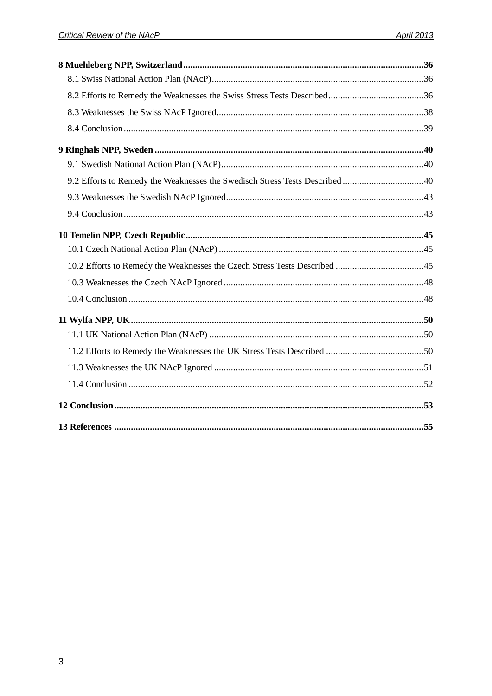| 9.2 Efforts to Remedy the Weaknesses the Swedisch Stress Tests Described 40 |  |
|-----------------------------------------------------------------------------|--|
|                                                                             |  |
|                                                                             |  |
|                                                                             |  |
|                                                                             |  |
|                                                                             |  |
|                                                                             |  |
|                                                                             |  |
|                                                                             |  |
|                                                                             |  |
|                                                                             |  |
|                                                                             |  |
|                                                                             |  |
|                                                                             |  |
|                                                                             |  |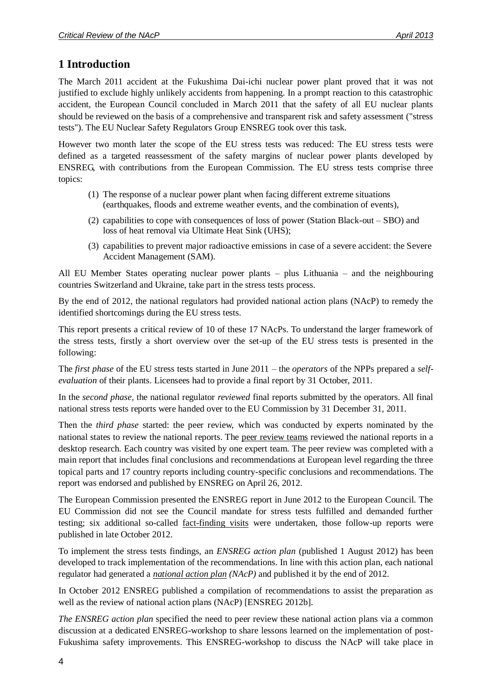# <span id="page-3-0"></span>**1 Introduction**

The March 2011 accident at the Fukushima Dai-ichi nuclear power plant proved that it was not justified to exclude highly unlikely accidents from happening. In a prompt reaction to this catastrophic accident, the European Council concluded in March 2011 that the safety of all EU nuclear plants should be reviewed on the basis of a comprehensive and transparent risk and safety assessment ("stress tests"). The EU Nuclear Safety Regulators Group ENSREG took over this task.

However two month later the scope of the EU stress tests was reduced: The EU stress tests were defined as a targeted reassessment of the safety margins of nuclear power plants developed by ENSREG, with contributions from the European Commission. The EU stress tests comprise three topics:

- (1) The response of a nuclear power plant when facing different extreme situations (earthquakes, floods and extreme weather events, and the combination of events),
- (2) capabilities to cope with consequences of loss of power (Station Black-out SBO) and loss of heat removal via Ultimate Heat Sink (UHS);
- (3) capabilities to prevent major radioactive emissions in case of a severe accident: the Severe Accident Management (SAM).

All EU Member States operating nuclear power plants – plus Lithuania – and the neighbouring countries Switzerland and Ukraine, take part in the stress tests process.

By the end of 2012, the national regulators had provided national action plans (NAcP) to remedy the identified shortcomings during the EU stress tests.

This report presents a critical review of 10 of these 17 NAcPs. To understand the larger framework of the stress tests, firstly a short overview over the set-up of the EU stress tests is presented in the following:

The *first phase* of the EU stress tests started in June 2011 – the *operators* of the NPPs prepared a *selfevaluation* of their plants. Licensees had to provide a final report by 31 October, 2011.

In the *second phase,* the national regulator *reviewed* final reports submitted by the operators. All final national stress tests reports were handed over to the EU Commission by 31 December 31, 2011.

Then the *third phase* started: the peer review, which was conducted by experts nominated by the national states to review the national reports. The peer review teams reviewed the national reports in a desktop research. Each country was visited by one expert team. The peer review was completed with a main report that includes final conclusions and recommendations at European level regarding the three topical parts and 17 country reports including country-specific conclusions and recommendations. The report was endorsed and published by ENSREG on April 26, 2012.

The European Commission presented the ENSREG report in June 2012 to the European Council. The EU Commission did not see the Council mandate for stress tests fulfilled and demanded further testing; six additional so-called fact-finding visits were undertaken, those follow-up reports were published in late October 2012.

To implement the stress tests findings, an *ENSREG action plan* (published 1 August 2012) has been developed to track implementation of the recommendations. In line with this action plan, each national regulator had generated a *national action plan (NAcP)* and published it by the end of 2012.

In October 2012 ENSREG published a compilation of recommendations to assist the preparation as well as the review of national action plans (NAcP) [ENSREG 2012b].

*The ENSREG action plan* specified the need to peer review these national action plans via a common discussion at a dedicated ENSREG-workshop to share lessons learned on the implementation of post-Fukushima safety improvements. This ENSREG-workshop to discuss the NAcP will take place in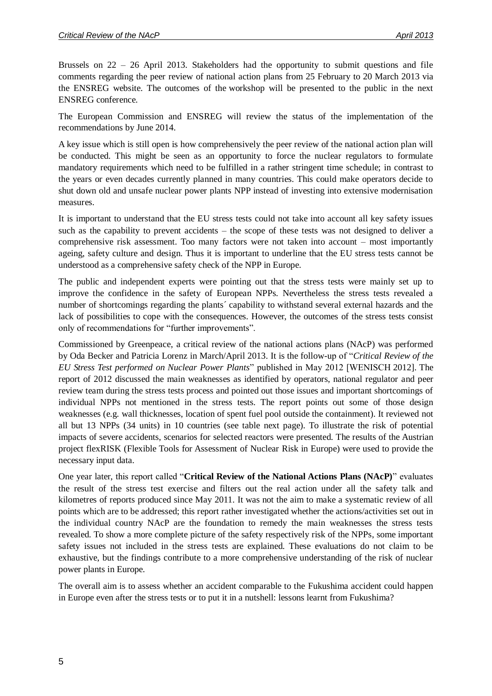Brussels on 22 – 26 April 2013. Stakeholders had the opportunity to submit questions and file comments regarding the peer review of national action plans from 25 February to 20 March 2013 via the ENSREG website. The outcomes of the workshop will be presented to the public in the next ENSREG conference.

The European Commission and ENSREG will review the status of the implementation of the recommendations by June 2014.

A key issue which is still open is how comprehensively the peer review of the national action plan will be conducted. This might be seen as an opportunity to force the nuclear regulators to formulate mandatory requirements which need to be fulfilled in a rather stringent time schedule; in contrast to the years or even decades currently planned in many countries. This could make operators decide to shut down old and unsafe nuclear power plants NPP instead of investing into extensive modernisation measures.

It is important to understand that the EU stress tests could not take into account all key safety issues such as the capability to prevent accidents – the scope of these tests was not designed to deliver a comprehensive risk assessment. Too many factors were not taken into account – most importantly ageing, safety culture and design. Thus it is important to underline that the EU stress tests cannot be understood as a comprehensive safety check of the NPP in Europe.

The public and independent experts were pointing out that the stress tests were mainly set up to improve the confidence in the safety of European NPPs. Nevertheless the stress tests revealed a number of shortcomings regarding the plants´ capability to withstand several external hazards and the lack of possibilities to cope with the consequences. However, the outcomes of the stress tests consist only of recommendations for "further improvements".

Commissioned by Greenpeace, a critical review of the national actions plans (NAcP) was performed by Oda Becker and Patricia Lorenz in March/April 2013. It is the follow-up of "*Critical Review of the EU Stress Test performed on Nuclear Power Plants*" published in May 2012 [WENISCH 2012]. The report of 2012 discussed the main weaknesses as identified by operators, national regulator and peer review team during the stress tests process and pointed out those issues and important shortcomings of individual NPPs not mentioned in the stress tests. The report points out some of those design weaknesses (e.g. wall thicknesses, location of spent fuel pool outside the containment). It reviewed not all but 13 NPPs (34 units) in 10 countries (see table next page). To illustrate the risk of potential impacts of severe accidents, scenarios for selected reactors were presented. The results of the Austrian project flexRISK (Flexible Tools for Assessment of Nuclear Risk in Europe) were used to provide the necessary input data.

One year later, this report called "**Critical Review of the National Actions Plans (NAcP)**" evaluates the result of the stress test exercise and filters out the real action under all the safety talk and kilometres of reports produced since May 2011. It was not the aim to make a systematic review of all points which are to be addressed; this report rather investigated whether the actions/activities set out in the individual country NAcP are the foundation to remedy the main weaknesses the stress tests revealed. To show a more complete picture of the safety respectively risk of the NPPs, some important safety issues not included in the stress tests are explained. These evaluations do not claim to be exhaustive, but the findings contribute to a more comprehensive understanding of the risk of nuclear power plants in Europe.

The overall aim is to assess whether an accident comparable to the Fukushima accident could happen in Europe even after the stress tests or to put it in a nutshell: lessons learnt from Fukushima?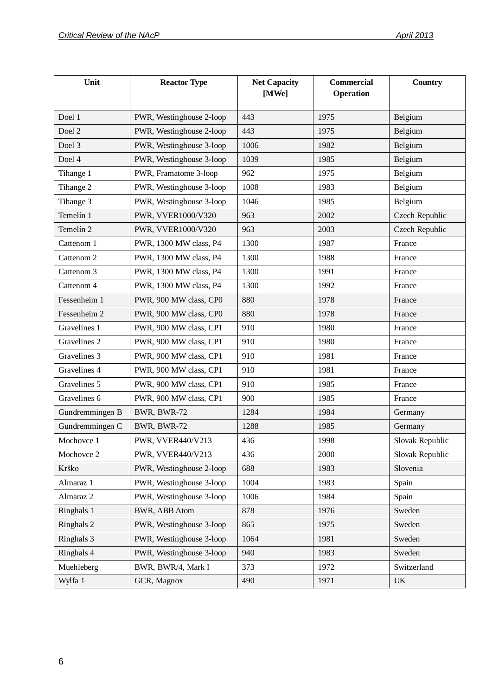| Unit            | <b>Reactor Type</b>      | <b>Net Capacity</b><br>[MWe] | <b>Commercial</b><br>Operation | Country         |
|-----------------|--------------------------|------------------------------|--------------------------------|-----------------|
| Doel 1          | PWR, Westinghouse 2-loop | 443                          | 1975                           | Belgium         |
| Doel 2          | PWR, Westinghouse 2-loop | 443                          | 1975                           | Belgium         |
| Doel 3          | PWR, Westinghouse 3-loop | 1006                         | 1982                           | Belgium         |
| Doel 4          | PWR, Westinghouse 3-loop | 1039                         | 1985                           | Belgium         |
| Tihange 1       | PWR, Framatome 3-loop    | 962                          | 1975                           | Belgium         |
| Tihange 2       | PWR, Westinghouse 3-loop | 1008                         | 1983                           | Belgium         |
| Tihange 3       | PWR, Westinghouse 3-loop | 1046                         | 1985                           | Belgium         |
| Temelín 1       | PWR, VVER1000/V320       | 963                          | 2002                           | Czech Republic  |
| Temelín 2       | PWR, VVER1000/V320       | 963                          | 2003                           | Czech Republic  |
| Cattenom 1      | PWR, 1300 MW class, P4   | 1300                         | 1987                           | France          |
| Cattenom 2      | PWR, 1300 MW class, P4   | 1300                         | 1988                           | France          |
| Cattenom 3      | PWR, 1300 MW class, P4   | 1300                         | 1991                           | France          |
| Cattenom 4      | PWR, 1300 MW class, P4   | 1300                         | 1992                           | France          |
| Fessenheim 1    | PWR, 900 MW class, CP0   | 880                          | 1978                           | France          |
| Fessenheim 2    | PWR, 900 MW class, CP0   | 880                          | 1978                           | France          |
| Gravelines 1    | PWR, 900 MW class, CP1   | 910                          | 1980                           | France          |
| Gravelines 2    | PWR, 900 MW class, CP1   | 910                          | 1980                           | France          |
| Gravelines 3    | PWR, 900 MW class, CP1   | 910                          | 1981                           | France          |
| Gravelines 4    | PWR, 900 MW class, CP1   | 910                          | 1981                           | France          |
| Gravelines 5    | PWR, 900 MW class, CP1   | 910                          | 1985                           | France          |
| Gravelines 6    | PWR, 900 MW class, CP1   | 900                          | 1985                           | France          |
| Gundremmingen B | BWR, BWR-72              | 1284                         | 1984                           | Germany         |
| Gundremmingen C | BWR, BWR-72              | 1288                         | 1985                           | Germany         |
| Mochovce 1      | PWR, VVER440/V213        | 436                          | 1998                           | Slovak Republic |
| Mochovce 2      | PWR, VVER440/V213        | 436                          | 2000                           | Slovak Republic |
| Krško           | PWR, Westinghouse 2-loop | 688                          | 1983                           | Slovenia        |
| Almaraz 1       | PWR, Westinghouse 3-loop | 1004                         | 1983                           | Spain           |
| Almaraz 2       | PWR, Westinghouse 3-loop | 1006                         | 1984                           | Spain           |
| Ringhals 1      | <b>BWR, ABB Atom</b>     | 878                          | 1976                           | Sweden          |
| Ringhals 2      | PWR, Westinghouse 3-loop | 865                          | 1975                           | Sweden          |
| Ringhals 3      | PWR, Westinghouse 3-loop | 1064                         | 1981                           | Sweden          |
| Ringhals 4      | PWR, Westinghouse 3-loop | 940                          | 1983                           | Sweden          |
| Muehleberg      | BWR, BWR/4, Mark I       | 373                          | 1972                           | Switzerland     |
| Wylfa 1         | GCR, Magnox              | 490                          | 1971                           | <b>UK</b>       |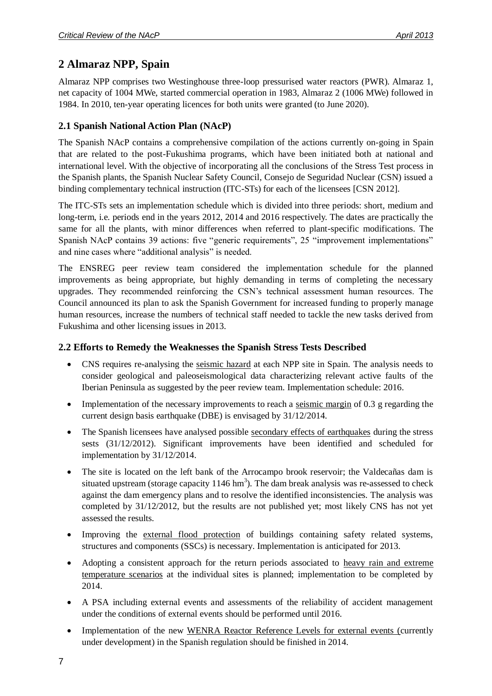# <span id="page-6-0"></span>**2 Almaraz NPP, Spain**

Almaraz NPP comprises two Westinghouse three-loop pressurised water reactors (PWR). Almaraz 1, net capacity of 1004 MWe, started commercial operation in 1983, Almaraz 2 (1006 MWe) followed in 1984. In 2010, ten-year operating licences for both units were granted (to June 2020).

### <span id="page-6-1"></span>**2.1 Spanish National Action Plan (NAcP)**

The Spanish NAcP contains a comprehensive compilation of the actions currently on-going in Spain that are related to the post-Fukushima programs, which have been initiated both at national and international level. With the objective of incorporating all the conclusions of the Stress Test process in the Spanish plants, the Spanish Nuclear Safety Council, Consejo de Seguridad Nuclear (CSN) issued a binding complementary technical instruction (ITC-STs) for each of the licensees [CSN 2012].

The ITC-STs sets an implementation schedule which is divided into three periods: short, medium and long-term, i.e. periods end in the years 2012, 2014 and 2016 respectively. The dates are practically the same for all the plants, with minor differences when referred to plant-specific modifications. The Spanish NAcP contains 39 actions: five "generic requirements", 25 "improvement implementations" and nine cases where "additional analysis" is needed.

The ENSREG peer review team considered the implementation schedule for the planned improvements as being appropriate, but highly demanding in terms of completing the necessary upgrades. They recommended reinforcing the CSN's technical assessment human resources. The Council announced its plan to ask the Spanish Government for increased funding to properly manage human resources, increase the numbers of technical staff needed to tackle the new tasks derived from Fukushima and other licensing issues in 2013.

#### <span id="page-6-2"></span>**2.2 Efforts to Remedy the Weaknesses the Spanish Stress Tests Described**

- CNS requires re-analysing the seismic hazard at each NPP site in Spain. The analysis needs to consider geological and paleoseismological data characterizing relevant active faults of the Iberian Peninsula as suggested by the peer review team. Implementation schedule: 2016.
- Implementation of the necessary improvements to reach a <u>seismic margin</u> of 0.3 g regarding the current design basis earthquake (DBE) is envisaged by 31/12/2014.
- The Spanish licensees have analysed possible secondary effects of earthquakes during the stress sests (31/12/2012). Significant improvements have been identified and scheduled for implementation by 31/12/2014.
- The site is located on the left bank of the Arrocampo brook reservoir; the Valdecañas dam is situated upstream (storage capacity  $1146 \text{ hm}^3$ ). The dam break analysis was re-assessed to check against the dam emergency plans and to resolve the identified inconsistencies. The analysis was completed by 31/12/2012, but the results are not published yet; most likely CNS has not yet assessed the results.
- Improving the external flood protection of buildings containing safety related systems, structures and components (SSCs) is necessary. Implementation is anticipated for 2013.
- Adopting a consistent approach for the return periods associated to heavy rain and extreme temperature scenarios at the individual sites is planned; implementation to be completed by 2014.
- A PSA including external events and assessments of the reliability of accident management under the conditions of external events should be performed until 2016.
- Implementation of the new WENRA Reactor Reference Levels for external events (currently under development) in the Spanish regulation should be finished in 2014.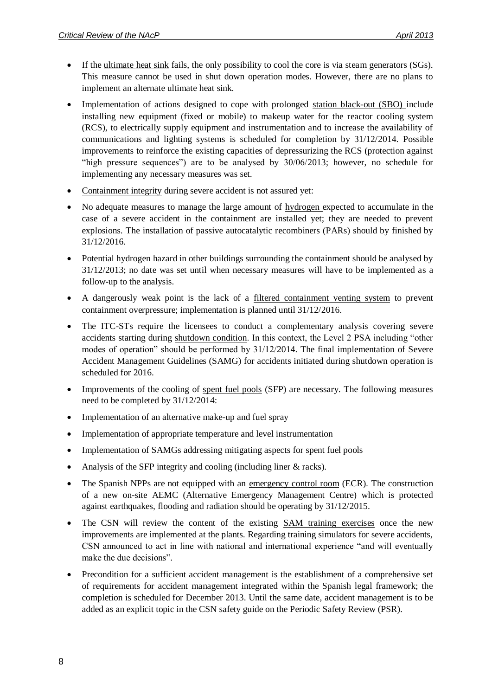- If the <u>ultimate heat sink</u> fails, the only possibility to cool the core is via steam generators (SGs). This measure cannot be used in shut down operation modes. However, there are no plans to implement an alternate ultimate heat sink.
- Implementation of actions designed to cope with prolonged station black-out (SBO) include installing new equipment (fixed or mobile) to makeup water for the reactor cooling system (RCS), to electrically supply equipment and instrumentation and to increase the availability of communications and lighting systems is scheduled for completion by 31/12/2014. Possible improvements to reinforce the existing capacities of depressurizing the RCS (protection against "high pressure sequences") are to be analysed by 30/06/2013; however, no schedule for implementing any necessary measures was set.
- Containment integrity during severe accident is not assured yet:
- No adequate measures to manage the large amount of hydrogen expected to accumulate in the case of a severe accident in the containment are installed yet; they are needed to prevent explosions. The installation of passive autocatalytic recombiners (PARs) should by finished by 31/12/2016.
- Potential hydrogen hazard in other buildings surrounding the containment should be analysed by 31/12/2013; no date was set until when necessary measures will have to be implemented as a follow-up to the analysis.
- A dangerously weak point is the lack of a filtered containment venting system to prevent containment overpressure; implementation is planned until 31/12/2016.
- The ITC-STs require the licensees to conduct a complementary analysis covering severe accidents starting during shutdown condition. In this context, the Level 2 PSA including "other modes of operation" should be performed by 31/12/2014. The final implementation of Severe Accident Management Guidelines (SAMG) for accidents initiated during shutdown operation is scheduled for 2016.
- Improvements of the cooling of spent fuel pools (SFP) are necessary. The following measures need to be completed by 31/12/2014:
- Implementation of an alternative make-up and fuel spray
- Implementation of appropriate temperature and level instrumentation
- Implementation of SAMGs addressing mitigating aspects for spent fuel pools
- Analysis of the SFP integrity and cooling (including liner & racks).
- The Spanish NPPs are not equipped with an emergency control room (ECR). The construction of a new on-site AEMC (Alternative Emergency Management Centre) which is protected against earthquakes, flooding and radiation should be operating by 31/12/2015.
- The CSN will review the content of the existing SAM training exercises once the new improvements are implemented at the plants. Regarding training simulators for severe accidents, CSN announced to act in line with national and international experience "and will eventually make the due decisions".
- Precondition for a sufficient accident management is the establishment of a comprehensive set of requirements for accident management integrated within the Spanish legal framework; the completion is scheduled for December 2013. Until the same date, accident management is to be added as an explicit topic in the CSN safety guide on the Periodic Safety Review (PSR).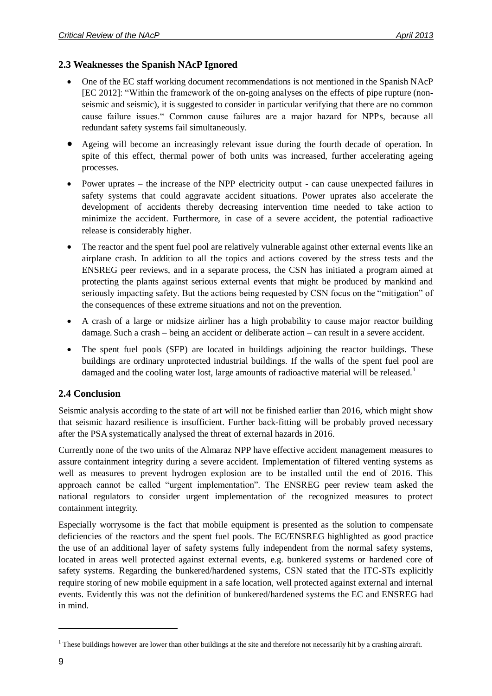#### <span id="page-8-0"></span>**2.3 Weaknesses the Spanish NAcP Ignored**

- One of the EC staff working document recommendations is not mentioned in the Spanish NAcP [EC 2012]: "Within the framework of the on-going analyses on the effects of pipe rupture (nonseismic and seismic), it is suggested to consider in particular verifying that there are no common cause failure issues." Common cause failures are a major hazard for NPPs, because all redundant safety systems fail simultaneously.
- Ageing will become an increasingly relevant issue during the fourth decade of operation. In spite of this effect, thermal power of both units was increased, further accelerating ageing processes.
- Power uprates the increase of the NPP electricity output can cause unexpected failures in safety systems that could aggravate accident situations. Power uprates also accelerate the development of accidents thereby decreasing intervention time needed to take action to minimize the accident. Furthermore, in case of a severe accident, the potential radioactive release is considerably higher.
- The reactor and the spent fuel pool are relatively vulnerable against other external events like an airplane crash. In addition to all the topics and actions covered by the stress tests and the ENSREG peer reviews, and in a separate process, the CSN has initiated a program aimed at protecting the plants against serious external events that might be produced by mankind and seriously impacting safety. But the actions being requested by CSN focus on the "mitigation" of the consequences of these extreme situations and not on the prevention.
- A crash of a large or midsize airliner has a high probability to cause major reactor building damage. Such a crash – being an accident or deliberate action – can result in a severe accident.
- The spent fuel pools (SFP) are located in buildings adjoining the reactor buildings. These buildings are ordinary unprotected industrial buildings. If the walls of the spent fuel pool are damaged and the cooling water lost, large amounts of radioactive material will be released.<sup>1</sup>

#### <span id="page-8-1"></span>**2.4 Conclusion**

Seismic analysis according to the state of art will not be finished earlier than 2016, which might show that seismic hazard resilience is insufficient. Further back-fitting will be probably proved necessary after the PSA systematically analysed the threat of external hazards in 2016.

Currently none of the two units of the Almaraz NPP have effective accident management measures to assure containment integrity during a severe accident. Implementation of filtered venting systems as well as measures to prevent hydrogen explosion are to be installed until the end of 2016. This approach cannot be called "urgent implementation". The ENSREG peer review team asked the national regulators to consider urgent implementation of the recognized measures to protect containment integrity.

Especially worrysome is the fact that mobile equipment is presented as the solution to compensate deficiencies of the reactors and the spent fuel pools. The EC/ENSREG highlighted as good practice the use of an additional layer of safety systems fully independent from the normal safety systems, located in areas well protected against external events, e.g. bunkered systems or hardened core of safety systems. Regarding the bunkered/hardened systems, CSN stated that the ITC-STs explicitly require storing of new mobile equipment in a safe location, well protected against external and internal events. Evidently this was not the definition of bunkered/hardened systems the EC and ENSREG had in mind.

 $<sup>1</sup>$  These buildings however are lower than other buildings at the site and therefore not necessarily hit by a crashing aircraft.</sup>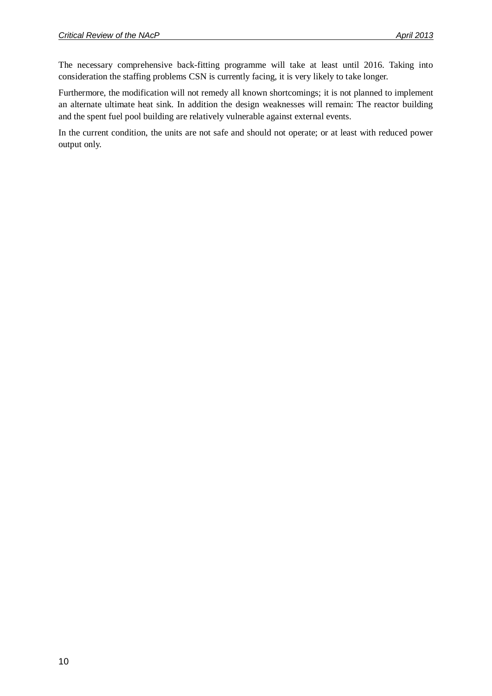The necessary comprehensive back-fitting programme will take at least until 2016. Taking into consideration the staffing problems CSN is currently facing, it is very likely to take longer.

Furthermore, the modification will not remedy all known shortcomings; it is not planned to implement an alternate ultimate heat sink. In addition the design weaknesses will remain: The reactor building and the spent fuel pool building are relatively vulnerable against external events.

In the current condition, the units are not safe and should not operate; or at least with reduced power output only.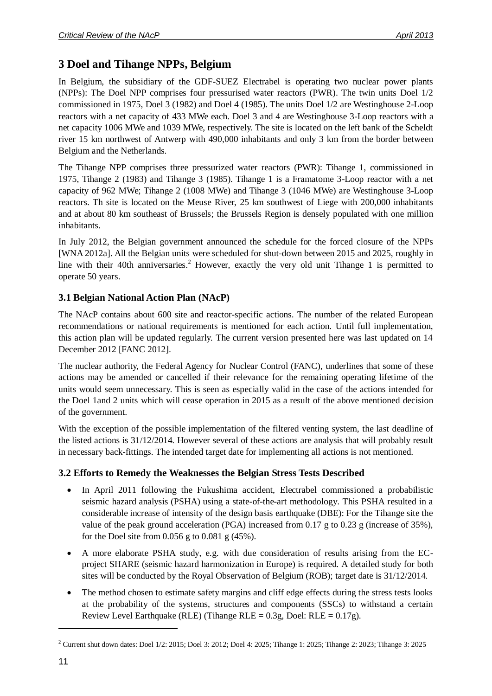# <span id="page-10-0"></span>**3 Doel and Tihange NPPs, Belgium**

In Belgium, the subsidiary of the GDF-SUEZ Electrabel is operating two nuclear power plants (NPPs): The Doel NPP comprises four pressurised water reactors (PWR). The twin units Doel 1/2 commissioned in 1975, Doel 3 (1982) and Doel 4 (1985). The units Doel 1/2 are Westinghouse 2-Loop reactors with a net capacity of 433 MWe each. Doel 3 and 4 are Westinghouse 3-Loop reactors with a net capacity 1006 MWe and 1039 MWe, respectively. The site is located on the left bank of the Scheldt river 15 km northwest of Antwerp with 490,000 inhabitants and only 3 km from the border between Belgium and the Netherlands.

The Tihange NPP comprises three pressurized water reactors (PWR): Tihange 1, commissioned in 1975, Tihange 2 (1983) and Tihange 3 (1985). Tihange 1 is a Framatome 3-Loop reactor with a net capacity of 962 MWe; Tihange 2 (1008 MWe) and Tihange 3 (1046 MWe) are Westinghouse 3-Loop reactors. Th site is located on the Meuse River, 25 km southwest of Liege with 200,000 inhabitants and at about 80 km southeast of Brussels; the Brussels Region is densely populated with one million inhabitants.

In July 2012, the Belgian government announced the schedule for the forced closure of the NPPs [WNA 2012a]. All the Belgian units were scheduled for shut-down between 2015 and 2025, roughly in line with their 40th anniversaries.<sup>2</sup> However, exactly the very old unit Tihange 1 is permitted to operate 50 years.

### <span id="page-10-1"></span>**3.1 Belgian National Action Plan (NAcP)**

The NAcP contains about 600 site and reactor-specific actions. The number of the related European recommendations or national requirements is mentioned for each action. Until full implementation, this action plan will be updated regularly. The current version presented here was last updated on 14 December 2012 [FANC 2012].

The nuclear authority, the Federal Agency for Nuclear Control (FANC), underlines that some of these actions may be amended or cancelled if their relevance for the remaining operating lifetime of the units would seem unnecessary. This is seen as especially valid in the case of the actions intended for the Doel 1and 2 units which will cease operation in 2015 as a result of the above mentioned decision of the government.

With the exception of the possible implementation of the filtered venting system, the last deadline of the listed actions is 31/12/2014. However several of these actions are analysis that will probably result in necessary back-fittings. The intended target date for implementing all actions is not mentioned.

### <span id="page-10-2"></span>**3.2 Efforts to Remedy the Weaknesses the Belgian Stress Tests Described**

- In April 2011 following the Fukushima accident, Electrabel commissioned a probabilistic seismic hazard analysis (PSHA) using a state-of-the-art methodology. This PSHA resulted in a considerable increase of intensity of the design basis earthquake (DBE): For the Tihange site the value of the peak ground acceleration (PGA) increased from 0.17 g to 0.23 g (increase of 35%), for the Doel site from 0.056 g to 0.081 g (45%).
- A more elaborate PSHA study, e.g. with due consideration of results arising from the ECproject SHARE (seismic hazard harmonization in Europe) is required. A detailed study for both sites will be conducted by the Royal Observation of Belgium (ROB); target date is 31/12/2014.
- The method chosen to estimate safety margins and cliff edge effects during the stress tests looks at the probability of the systems, structures and components (SSCs) to withstand a certain Review Level Earthquake (RLE) (Tihange RLE =  $0.3$ g, Doel: RLE =  $0.17$ g).

 $2$  Current shut down dates: Doel 1/2: 2015; Doel 3: 2012; Doel 4: 2025; Tihange 1: 2025; Tihange 2: 2023; Tihange 3: 2025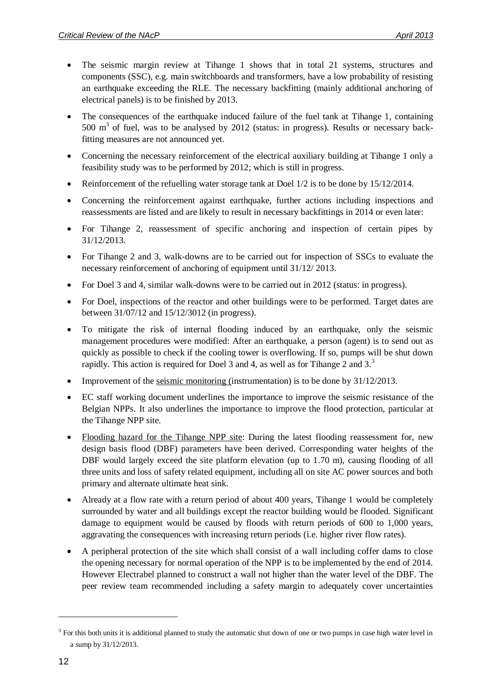- The seismic margin review at Tihange 1 shows that in total 21 systems, structures and components (SSC), e.g. main switchboards and transformers, have a low probability of resisting an earthquake exceeding the RLE. The necessary backfitting (mainly additional anchoring of electrical panels) is to be finished by 2013.
- The consequences of the earthquake induced failure of the fuel tank at Tihange 1, containing 500  $\text{m}^3$  of fuel, was to be analysed by 2012 (status: in progress). Results or necessary backfitting measures are not announced yet.
- Concerning the necessary reinforcement of the electrical auxiliary building at Tihange 1 only a feasibility study was to be performed by 2012; which is still in progress.
- Reinforcement of the refuelling water storage tank at Doel 1/2 is to be done by 15/12/2014.
- Concerning the reinforcement against earthquake, further actions including inspections and reassessments are listed and are likely to result in necessary backfittings in 2014 or even later:
- For Tihange 2, reassessment of specific anchoring and inspection of certain pipes by 31/12/2013.
- For Tihange 2 and 3, walk-downs are to be carried out for inspection of SSCs to evaluate the necessary reinforcement of anchoring of equipment until 31/12/ 2013.
- For Doel 3 and 4, similar walk-downs were to be carried out in 2012 (status: in progress).
- For Doel, inspections of the reactor and other buildings were to be performed. Target dates are between 31/07/12 and 15/12/3012 (in progress).
- To mitigate the risk of internal flooding induced by an earthquake, only the seismic management procedures were modified: After an earthquake, a person (agent) is to send out as quickly as possible to check if the cooling tower is overflowing. If so, pumps will be shut down rapidly. This action is required for Doel 3 and 4, as well as for Tihange 2 and  $3<sup>3</sup>$
- Improvement of the seismic monitoring (instrumentation) is to be done by 31/12/2013.
- EC staff working document underlines the importance to improve the seismic resistance of the Belgian NPPs. It also underlines the importance to improve the flood protection, particular at the Tihange NPP site.
- Flooding hazard for the Tihange NPP site: During the latest flooding reassessment for, new design basis flood (DBF) parameters have been derived. Corresponding water heights of the DBF would largely exceed the site platform elevation (up to 1.70 m), causing flooding of all three units and loss of safety related equipment, including all on site AC power sources and both primary and alternate ultimate heat sink.
- Already at a flow rate with a return period of about 400 years, Tihange 1 would be completely surrounded by water and all buildings except the reactor building would be flooded. Significant damage to equipment would be caused by floods with return periods of 600 to 1,000 years, aggravating the consequences with increasing return periods (i.e. higher river flow rates).
- A peripheral protection of the site which shall consist of a wall including coffer dams to close the opening necessary for normal operation of the NPP is to be implemented by the end of 2014. However Electrabel planned to construct a wall not higher than the water level of the DBF. The peer review team recommended including a safety margin to adequately cover uncertainties

 $3$  For this both units it is additional planned to study the automatic shut down of one or two pumps in case high water level in a sump by 31/12/2013.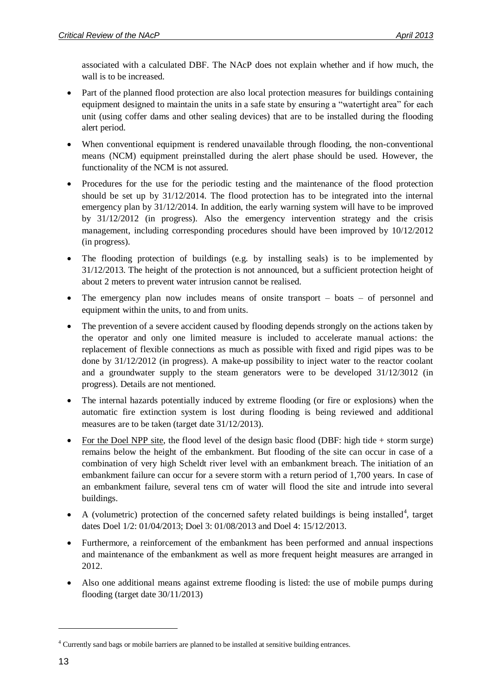associated with a calculated DBF. The NAcP does not explain whether and if how much, the wall is to be increased.

- Part of the planned flood protection are also local protection measures for buildings containing equipment designed to maintain the units in a safe state by ensuring a "watertight area" for each unit (using coffer dams and other sealing devices) that are to be installed during the flooding alert period.
- When conventional equipment is rendered unavailable through flooding, the non-conventional means (NCM) equipment preinstalled during the alert phase should be used. However, the functionality of the NCM is not assured.
- Procedures for the use for the periodic testing and the maintenance of the flood protection should be set up by 31/12/2014. The flood protection has to be integrated into the internal emergency plan by 31/12/2014. In addition, the early warning system will have to be improved by 31/12/2012 (in progress). Also the emergency intervention strategy and the crisis management, including corresponding procedures should have been improved by 10/12/2012 (in progress).
- The flooding protection of buildings (e.g. by installing seals) is to be implemented by 31/12/2013. The height of the protection is not announced, but a sufficient protection height of about 2 meters to prevent water intrusion cannot be realised.
- The emergency plan now includes means of onsite transport boats of personnel and equipment within the units, to and from units.
- The prevention of a severe accident caused by flooding depends strongly on the actions taken by the operator and only one limited measure is included to accelerate manual actions: the replacement of flexible connections as much as possible with fixed and rigid pipes was to be done by 31/12/2012 (in progress). A make-up possibility to inject water to the reactor coolant and a groundwater supply to the steam generators were to be developed 31/12/3012 (in progress). Details are not mentioned.
- The internal hazards potentially induced by extreme flooding (or fire or explosions) when the automatic fire extinction system is lost during flooding is being reviewed and additional measures are to be taken (target date 31/12/2013).
- For the Doel NPP site, the flood level of the design basic flood (DBF: high tide  $+$  storm surge) remains below the height of the embankment. But flooding of the site can occur in case of a combination of very high Scheldt river level with an embankment breach. The initiation of an embankment failure can occur for a severe storm with a return period of 1,700 years. In case of an embankment failure, several tens cm of water will flood the site and intrude into several buildings.
- A (volumetric) protection of the concerned safety related buildings is being installed<sup>4</sup>, target dates Doel 1/2: 01/04/2013; Doel 3: 01/08/2013 and Doel 4: 15/12/2013.
- Furthermore, a reinforcement of the embankment has been performed and annual inspections and maintenance of the embankment as well as more frequent height measures are arranged in 2012.
- Also one additional means against extreme flooding is listed: the use of mobile pumps during flooding (target date 30/11/2013)

<sup>4</sup> Currently sand bags or mobile barriers are planned to be installed at sensitive building entrances.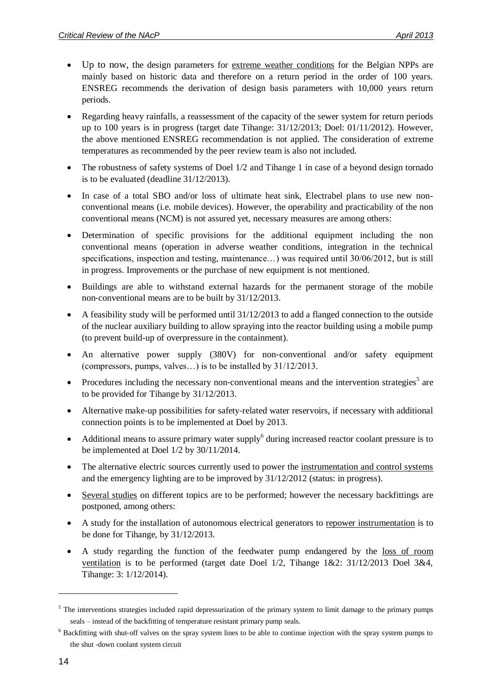- Up to now, the design parameters for extreme weather conditions for the Belgian NPPs are mainly based on historic data and therefore on a return period in the order of 100 years. ENSREG recommends the derivation of design basis parameters with 10,000 years return periods.
- Regarding heavy rainfalls, a reassessment of the capacity of the sewer system for return periods up to 100 years is in progress (target date Tihange: 31/12/2013; Doel: 01/11/2012). However, the above mentioned ENSREG recommendation is not applied. The consideration of extreme temperatures as recommended by the peer review team is also not included.
- The robustness of safety systems of Doel 1/2 and Tihange 1 in case of a beyond design tornado is to be evaluated (deadline 31/12/2013).
- In case of a total SBO and/or loss of ultimate heat sink, Electrabel plans to use new nonconventional means (i.e. mobile devices). However, the operability and practicability of the non conventional means (NCM) is not assured yet, necessary measures are among others:
- Determination of specific provisions for the additional equipment including the non conventional means (operation in adverse weather conditions, integration in the technical specifications, inspection and testing, maintenance...) was required until 30/06/2012, but is still in progress. Improvements or the purchase of new equipment is not mentioned.
- Buildings are able to withstand external hazards for the permanent storage of the mobile non‐conventional means are to be built by 31/12/2013.
- A feasibility study will be performed until 31/12/2013 to add a flanged connection to the outside of the nuclear auxiliary building to allow spraying into the reactor building using a mobile pump (to prevent build-up of overpressure in the containment).
- An alternative power supply (380V) for non-conventional and/or safety equipment (compressors, pumps, valves…) is to be installed by 31/12/2013.
- Procedures including the necessary non-conventional means and the intervention strategies<sup>5</sup> are to be provided for Tihange by 31/12/2013.
- Alternative make-up possibilities for safety-related water reservoirs, if necessary with additional connection points is to be implemented at Doel by 2013.
- Additional means to assure primary water supply $^6$  during increased reactor coolant pressure is to be implemented at Doel 1/2 by 30/11/2014.
- The alternative electric sources currently used to power the instrumentation and control systems and the emergency lighting are to be improved by 31/12/2012 (status: in progress).
- Several studies on different topics are to be performed; however the necessary backfittings are postponed, among others:
- A study for the installation of autonomous electrical generators to repower instrumentation is to be done for Tihange, by 31/12/2013.
- A study regarding the function of the feedwater pump endangered by the loss of room ventilation is to be performed (target date Doel 1/2, Tihange 1&2: 31/12/2013 Doel 3&4, Tihange: 3: 1/12/2014).

<sup>&</sup>lt;sup>5</sup> The interventions strategies included rapid depressurization of the primary system to limit damage to the primary pumps seals – instead of the backfitting of temperature resistant primary pump seals.

<sup>&</sup>lt;sup>6</sup> Backfitting with shut-off valves on the spray system lines to be able to continue injection with the spray system pumps to the shut -down coolant system circuit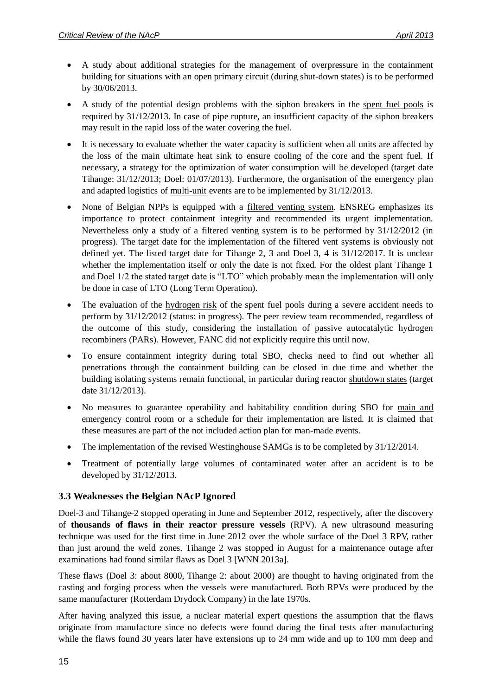- A study about additional strategies for the management of overpressure in the containment building for situations with an open primary circuit (during shut-down states) is to be performed by 30/06/2013.
- A study of the potential design problems with the siphon breakers in the spent fuel pools is required by 31/12/2013. In case of pipe rupture, an insufficient capacity of the siphon breakers may result in the rapid loss of the water covering the fuel.
- It is necessary to evaluate whether the water capacity is sufficient when all units are affected by the loss of the main ultimate heat sink to ensure cooling of the core and the spent fuel. If necessary, a strategy for the optimization of water consumption will be developed (target date Tihange: 31/12/2013; Doel: 01/07/2013). Furthermore, the organisation of the emergency plan and adapted logistics of multi-unit events are to be implemented by 31/12/2013.
- None of Belgian NPPs is equipped with a filtered venting system. ENSREG emphasizes its importance to protect containment integrity and recommended its urgent implementation. Nevertheless only a study of a filtered venting system is to be performed by 31/12/2012 (in progress). The target date for the implementation of the filtered vent systems is obviously not defined yet. The listed target date for Tihange 2, 3 and Doel 3, 4 is 31/12/2017. It is unclear whether the implementation itself or only the date is not fixed. For the oldest plant Tihange 1 and Doel 1/2 the stated target date is "LTO" which probably mean the implementation will only be done in case of LTO (Long Term Operation).
- The evaluation of the hydrogen risk of the spent fuel pools during a severe accident needs to perform by 31/12/2012 (status: in progress). The peer review team recommended, regardless of the outcome of this study, considering the installation of passive autocatalytic hydrogen recombiners (PARs). However, FANC did not explicitly require this until now.
- To ensure containment integrity during total SBO, checks need to find out whether all penetrations through the containment building can be closed in due time and whether the building isolating systems remain functional, in particular during reactor shutdown states (target date 31/12/2013).
- No measures to guarantee operability and habitability condition during SBO for main and emergency control room or a schedule for their implementation are listed. It is claimed that these measures are part of the not included action plan for man-made events.
- The implementation of the revised Westinghouse SAMGs is to be completed by  $31/12/2014$ .
- Treatment of potentially large volumes of contaminated water after an accident is to be developed by 31/12/2013.

#### <span id="page-14-0"></span>**3.3 Weaknesses the Belgian NAcP Ignored**

Doel-3 and Tihange-2 stopped operating in June and September 2012, respectively, after the discovery of **thousands of flaws in their reactor pressure vessels** (RPV). A new ultrasound measuring technique was used for the first time in June 2012 over the whole surface of the Doel 3 RPV, rather than just around the weld zones. Tihange 2 was stopped in August for a maintenance outage after examinations had found similar flaws as Doel 3 [WNN 2013a].

These flaws (Doel 3: about 8000, Tihange 2: about 2000) are thought to having originated from the casting and forging process when the vessels were manufactured. Both RPVs were produced by the same manufacturer (Rotterdam Drydock Company) in the late 1970s.

After having analyzed this issue, a nuclear material expert questions the assumption that the flaws originate from manufacture since no defects were found during the final tests after manufacturing while the flaws found 30 years later have extensions up to 24 mm wide and up to 100 mm deep and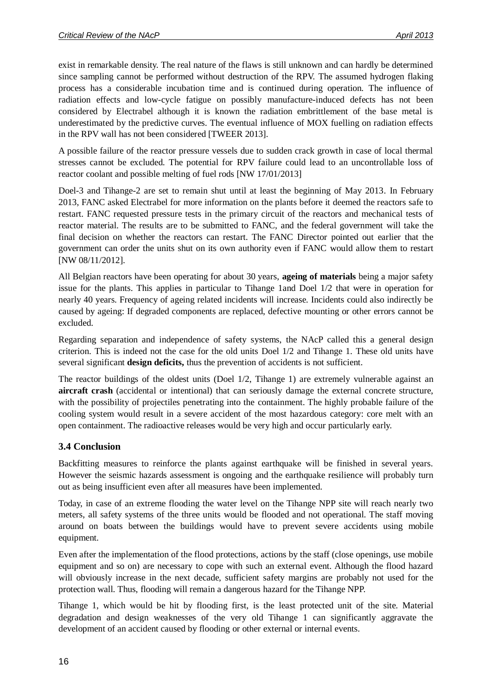exist in remarkable density. The real nature of the flaws is still unknown and can hardly be determined since sampling cannot be performed without destruction of the RPV. The assumed hydrogen flaking process has a considerable incubation time and is continued during operation. The influence of radiation effects and low-cycle fatigue on possibly manufacture-induced defects has not been considered by Electrabel although it is known the radiation embrittlement of the base metal is underestimated by the predictive curves. The eventual influence of MOX fuelling on radiation effects in the RPV wall has not been considered [TWEER 2013].

A possible failure of the reactor pressure vessels due to sudden crack growth in case of local thermal stresses cannot be excluded. The potential for RPV failure could lead to an uncontrollable loss of reactor coolant and possible melting of fuel rods [NW 17/01/2013]

Doel-3 and Tihange-2 are set to remain shut until at least the beginning of May 2013. In February 2013, FANC asked Electrabel for more information on the plants before it deemed the reactors safe to restart. FANC requested pressure tests in the primary circuit of the reactors and mechanical tests of reactor material. The results are to be submitted to FANC, and the federal government will take the final decision on whether the reactors can restart. The FANC Director pointed out earlier that the government can order the units shut on its own authority even if FANC would allow them to restart [NW 08/11/2012].

All Belgian reactors have been operating for about 30 years, **ageing of materials** being a major safety issue for the plants. This applies in particular to Tihange 1and Doel 1/2 that were in operation for nearly 40 years. Frequency of ageing related incidents will increase. Incidents could also indirectly be caused by ageing: If degraded components are replaced, defective mounting or other errors cannot be excluded.

Regarding separation and independence of safety systems, the NAcP called this a general design criterion. This is indeed not the case for the old units Doel 1/2 and Tihange 1. These old units have several significant **design deficits,** thus the prevention of accidents is not sufficient.

The reactor buildings of the oldest units (Doel 1/2, Tihange 1) are extremely vulnerable against an **aircraft crash** (accidental or intentional) that can seriously damage the external concrete structure, with the possibility of projectiles penetrating into the containment. The highly probable failure of the cooling system would result in a severe accident of the most hazardous category: core melt with an open containment. The radioactive releases would be very high and occur particularly early.

#### <span id="page-15-0"></span>**3.4 Conclusion**

Backfitting measures to reinforce the plants against earthquake will be finished in several years. However the seismic hazards assessment is ongoing and the earthquake resilience will probably turn out as being insufficient even after all measures have been implemented.

Today, in case of an extreme flooding the water level on the Tihange NPP site will reach nearly two meters, all safety systems of the three units would be flooded and not operational. The staff moving around on boats between the buildings would have to prevent severe accidents using mobile equipment.

Even after the implementation of the flood protections, actions by the staff (close openings, use mobile equipment and so on) are necessary to cope with such an external event. Although the flood hazard will obviously increase in the next decade, sufficient safety margins are probably not used for the protection wall. Thus, flooding will remain a dangerous hazard for the Tihange NPP.

Tihange 1, which would be hit by flooding first, is the least protected unit of the site. Material degradation and design weaknesses of the very old Tihange 1 can significantly aggravate the development of an accident caused by flooding or other external or internal events.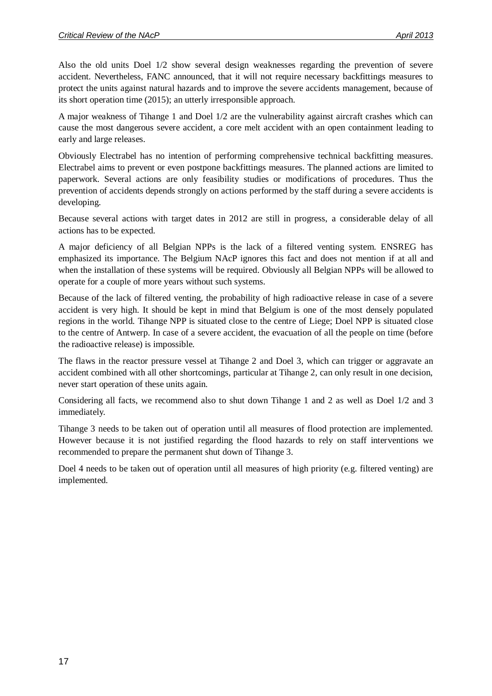Also the old units Doel 1/2 show several design weaknesses regarding the prevention of severe accident. Nevertheless, FANC announced, that it will not require necessary backfittings measures to protect the units against natural hazards and to improve the severe accidents management, because of its short operation time (2015); an utterly irresponsible approach.

A major weakness of Tihange 1 and Doel 1/2 are the vulnerability against aircraft crashes which can cause the most dangerous severe accident, a core melt accident with an open containment leading to early and large releases.

Obviously Electrabel has no intention of performing comprehensive technical backfitting measures. Electrabel aims to prevent or even postpone backfittings measures. The planned actions are limited to paperwork. Several actions are only feasibility studies or modifications of procedures. Thus the prevention of accidents depends strongly on actions performed by the staff during a severe accidents is developing.

Because several actions with target dates in 2012 are still in progress, a considerable delay of all actions has to be expected.

A major deficiency of all Belgian NPPs is the lack of a filtered venting system. ENSREG has emphasized its importance. The Belgium NAcP ignores this fact and does not mention if at all and when the installation of these systems will be required. Obviously all Belgian NPPs will be allowed to operate for a couple of more years without such systems.

Because of the lack of filtered venting, the probability of high radioactive release in case of a severe accident is very high. It should be kept in mind that Belgium is one of the most densely populated regions in the world. Tihange NPP is situated close to the centre of Liege; Doel NPP is situated close to the centre of Antwerp. In case of a severe accident, the evacuation of all the people on time (before the radioactive release) is impossible.

The flaws in the reactor pressure vessel at Tihange 2 and Doel 3, which can trigger or aggravate an accident combined with all other shortcomings, particular at Tihange 2, can only result in one decision, never start operation of these units again.

Considering all facts, we recommend also to shut down Tihange 1 and 2 as well as Doel 1/2 and 3 immediately.

Tihange 3 needs to be taken out of operation until all measures of flood protection are implemented. However because it is not justified regarding the flood hazards to rely on staff interventions we recommended to prepare the permanent shut down of Tihange 3.

Doel 4 needs to be taken out of operation until all measures of high priority (e.g. filtered venting) are implemented.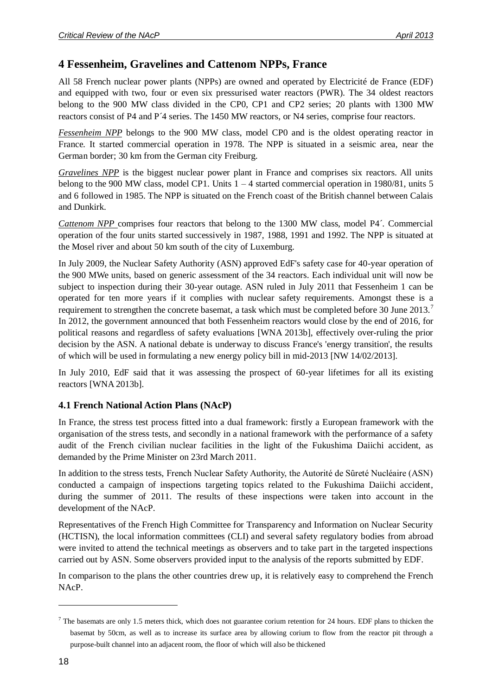### <span id="page-17-0"></span>**4 Fessenheim, Gravelines and Cattenom NPPs, France**

All 58 French nuclear power plants (NPPs) are owned and operated by Electricité de France (EDF) and equipped with two, four or even six pressurised water reactors (PWR). The 34 oldest reactors belong to the 900 MW class divided in the CP0, CP1 and CP2 series; 20 plants with 1300 MW reactors consist of P4 and P´4 series. The 1450 MW reactors, or N4 series, comprise four reactors.

*Fessenheim NPP* belongs to the 900 MW class, model CP0 and is the oldest operating reactor in France. It started commercial operation in 1978. The NPP is situated in a seismic area, near the German border; 30 km from the German city Freiburg.

*Gravelines NPP* is the biggest nuclear power plant in France and comprises six reactors. All units belong to the 900 MW class, model CP1. Units 1 – 4 started commercial operation in 1980/81, units 5 and 6 followed in 1985. The NPP is situated on the French coast of the British channel between Calais and Dunkirk.

*Cattenom NPP* comprises four reactors that belong to the 1300 MW class, model P4´. Commercial operation of the four units started successively in 1987, 1988, 1991 and 1992. The NPP is situated at the Mosel river and about 50 km south of the city of Luxemburg.

In July 2009, the Nuclear Safety Authority (ASN) approved EdF's safety case for 40-year operation of the 900 MWe units, based on generic assessment of the 34 reactors. Each individual unit will now be subject to inspection during their 30-year outage. ASN ruled in July 2011 that Fessenheim 1 can be operated for ten more years if it complies with nuclear safety requirements. Amongst these is a requirement to strengthen the concrete basemat, a task which must be completed before 30 June 2013.<sup>7</sup> In 2012, the government announced that both Fessenheim reactors would close by the end of 2016, for political reasons and regardless of safety evaluations [WNA 2013b], effectively over-ruling the prior decision by the ASN. A national debate is underway to discuss France's 'energy transition', the results of which will be used in formulating a new energy policy bill in mid-2013 [NW 14/02/2013].

In July 2010, EdF said that it was assessing the prospect of 60-year lifetimes for all its existing reactors [WNA 2013b].

### <span id="page-17-1"></span>**4.1 French National Action Plans (NAcP)**

In France, the stress test process fitted into a dual framework: firstly a European framework with the organisation of the stress tests, and secondly in a national framework with the performance of a safety audit of the French civilian nuclear facilities in the light of the Fukushima Daiichi accident, as demanded by the Prime Minister on 23rd March 2011.

In addition to the stress tests, French Nuclear Safety Authority, the Autorité de Sȗreté Nucléaire (ASN) conducted a campaign of inspections targeting topics related to the Fukushima Daiichi accident, during the summer of 2011. The results of these inspections were taken into account in the development of the NAcP.

Representatives of the French High Committee for Transparency and Information on Nuclear Security (HCTISN), the local information committees (CLI) and several safety regulatory bodies from abroad were invited to attend the technical meetings as observers and to take part in the targeted inspections carried out by ASN. Some observers provided input to the analysis of the reports submitted by EDF.

In comparison to the plans the other countries drew up, it is relatively easy to comprehend the French NAcP.

1

 $<sup>7</sup>$  The basemats are only 1.5 meters thick, which does not guarantee corium retention for 24 hours. EDF plans to thicken the</sup> basemat by 50cm, as well as to increase its surface area by allowing corium to flow from the reactor pit through a purpose-built channel into an adjacent room, the floor of which will also be thickened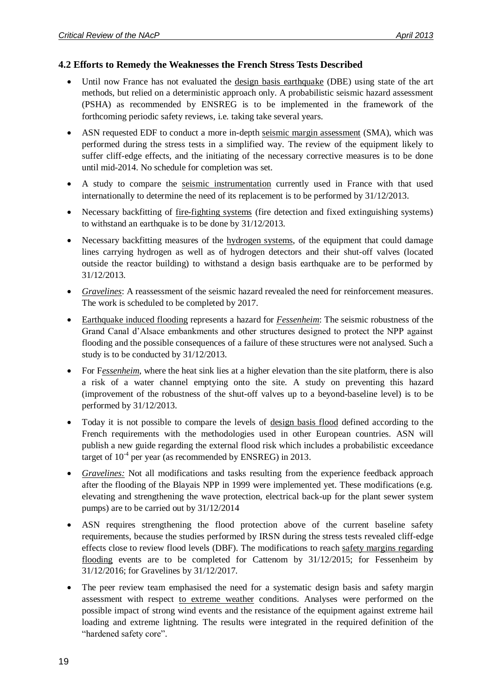#### <span id="page-18-0"></span>**4.2 Efforts to Remedy the Weaknesses the French Stress Tests Described**

- Until now France has not evaluated the design basis earthquake (DBE) using state of the art methods, but relied on a deterministic approach only. A probabilistic seismic hazard assessment (PSHA) as recommended by ENSREG is to be implemented in the framework of the forthcoming periodic safety reviews, i.e. taking take several years.
- ASN requested EDF to conduct a more in-depth seismic margin assessment (SMA), which was performed during the stress tests in a simplified way. The review of the equipment likely to suffer cliff-edge effects, and the initiating of the necessary corrective measures is to be done until mid-2014. No schedule for completion was set.
- A study to compare the seismic instrumentation currently used in France with that used internationally to determine the need of its replacement is to be performed by 31/12/2013.
- Necessary backfitting of fire-fighting systems (fire detection and fixed extinguishing systems) to withstand an earthquake is to be done by 31/12/2013.
- Necessary backfitting measures of the hydrogen systems, of the equipment that could damage lines carrying hydrogen as well as of hydrogen detectors and their shut-off valves (located outside the reactor building) to withstand a design basis earthquake are to be performed by 31/12/2013.
- *Gravelines*: A reassessment of the seismic hazard revealed the need for reinforcement measures. The work is scheduled to be completed by 2017.
- Earthquake induced flooding represents a hazard for *Fessenheim*: The seismic robustness of the Grand Canal d'Alsace embankments and other structures designed to protect the NPP against flooding and the possible consequences of a failure of these structures were not analysed. Such a study is to be conducted by 31/12/2013.
- For F*essenheim*, where the heat sink lies at a higher elevation than the site platform, there is also a risk of a water channel emptying onto the site. A study on preventing this hazard (improvement of the robustness of the shut-off valves up to a beyond-baseline level) is to be performed by 31/12/2013.
- Today it is not possible to compare the levels of design basis flood defined according to the French requirements with the methodologies used in other European countries. ASN will publish a new guide regarding the external flood risk which includes a probabilistic exceedance target of  $10^{-4}$  per year (as recommended by ENSREG) in 2013.
- *Gravelines:* Not all modifications and tasks resulting from the experience feedback approach after the flooding of the Blayais NPP in 1999 were implemented yet. These modifications (e.g. elevating and strengthening the wave protection, electrical back-up for the plant sewer system pumps) are to be carried out by 31/12/2014
- ASN requires strengthening the flood protection above of the current baseline safety requirements, because the studies performed by IRSN during the stress tests revealed cliff-edge effects close to review flood levels (DBF). The modifications to reach safety margins regarding flooding events are to be completed for Cattenom by 31/12/2015; for Fessenheim by 31/12/2016; for Gravelines by 31/12/2017.
- The peer review team emphasised the need for a systematic design basis and safety margin assessment with respect to extreme weather conditions. Analyses were performed on the possible impact of strong wind events and the resistance of the equipment against extreme hail loading and extreme lightning. The results were integrated in the required definition of the "hardened safety core".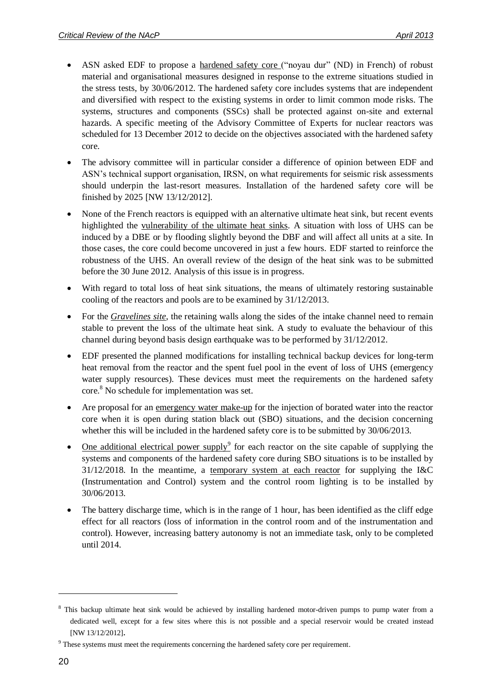- ASN asked EDF to propose a hardened safety core ("noyau dur" (ND) in French) of robust material and organisational measures designed in response to the extreme situations studied in the stress tests, by 30/06/2012. The hardened safety core includes systems that are independent and diversified with respect to the existing systems in order to limit common mode risks. The systems, structures and components (SSCs) shall be protected against on-site and external hazards. A specific meeting of the Advisory Committee of Experts for nuclear reactors was scheduled for 13 December 2012 to decide on the objectives associated with the hardened safety core.
- The advisory committee will in particular consider a difference of opinion between EDF and ASN's technical support organisation, IRSN, on what requirements for seismic risk assessments should underpin the last-resort measures. Installation of the hardened safety core will be finished by 2025 [NW 13/12/2012].
- None of the French reactors is equipped with an alternative ultimate heat sink, but recent events highlighted the vulnerability of the ultimate heat sinks. A situation with loss of UHS can be induced by a DBE or by flooding slightly beyond the DBF and will affect all units at a site. In those cases, the core could become uncovered in just a few hours. EDF started to reinforce the robustness of the UHS. An overall review of the design of the heat sink was to be submitted before the 30 June 2012. Analysis of this issue is in progress.
- With regard to total loss of heat sink situations, the means of ultimately restoring sustainable cooling of the reactors and pools are to be examined by 31/12/2013.
- For the *Gravelines site*, the retaining walls along the sides of the intake channel need to remain stable to prevent the loss of the ultimate heat sink. A study to evaluate the behaviour of this channel during beyond basis design earthquake was to be performed by 31/12/2012.
- EDF presented the planned modifications for installing technical backup devices for long-term heat removal from the reactor and the spent fuel pool in the event of loss of UHS (emergency water supply resources). These devices must meet the requirements on the hardened safety core.<sup>8</sup> No schedule for implementation was set.
- Are proposal for an emergency water make-up for the injection of borated water into the reactor core when it is open during station black out (SBO) situations, and the decision concerning whether this will be included in the hardened safety core is to be submitted by 30/06/2013.
- One additional electrical power supply<sup>9</sup> for each reactor on the site capable of supplying the systems and components of the hardened safety core during SBO situations is to be installed by 31/12/2018. In the meantime, a temporary system at each reactor for supplying the I&C (Instrumentation and Control) system and the control room lighting is to be installed by 30/06/2013.
- The battery discharge time, which is in the range of 1 hour, has been identified as the cliff edge effect for all reactors (loss of information in the control room and of the instrumentation and control). However, increasing battery autonomy is not an immediate task, only to be completed until 2014.

<sup>&</sup>lt;sup>8</sup> This backup ultimate heat sink would be achieved by installing hardened motor-driven pumps to pump water from a dedicated well, except for a few sites where this is not possible and a special reservoir would be created instead [NW 13/12/2012].

<sup>9</sup> These systems must meet the requirements concerning the hardened safety core per requirement.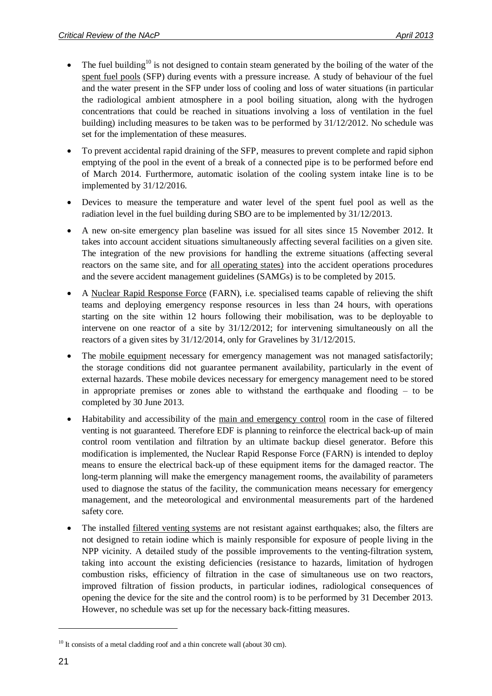- $\bullet$  The fuel building<sup>10</sup> is not designed to contain steam generated by the boiling of the water of the spent fuel pools (SFP) during events with a pressure increase. A study of behaviour of the fuel and the water present in the SFP under loss of cooling and loss of water situations (in particular the radiological ambient atmosphere in a pool boiling situation, along with the hydrogen concentrations that could be reached in situations involving a loss of ventilation in the fuel building) including measures to be taken was to be performed by 31/12/2012. No schedule was set for the implementation of these measures.
- To prevent accidental rapid draining of the SFP, measures to prevent complete and rapid siphon emptying of the pool in the event of a break of a connected pipe is to be performed before end of March 2014. Furthermore, automatic isolation of the cooling system intake line is to be implemented by 31/12/2016.
- Devices to measure the temperature and water level of the spent fuel pool as well as the radiation level in the fuel building during SBO are to be implemented by 31/12/2013.
- A new on-site emergency plan baseline was issued for all sites since 15 November 2012. It takes into account accident situations simultaneously affecting several facilities on a given site. The integration of the new provisions for handling the extreme situations (affecting several reactors on the same site, and for all operating states) into the accident operations procedures and the severe accident management guidelines (SAMGs) is to be completed by 2015.
- A Nuclear Rapid Response Force (FARN), i.e. specialised teams capable of relieving the shift teams and deploying emergency response resources in less than 24 hours, with operations starting on the site within 12 hours following their mobilisation, was to be deployable to intervene on one reactor of a site by 31/12/2012; for intervening simultaneously on all the reactors of a given sites by 31/12/2014, only for Gravelines by 31/12/2015.
- The mobile equipment necessary for emergency management was not managed satisfactorily; the storage conditions did not guarantee permanent availability, particularly in the event of external hazards. These mobile devices necessary for emergency management need to be stored in appropriate premises or zones able to withstand the earthquake and flooding – to be completed by 30 June 2013.
- Habitability and accessibility of the main and emergency control room in the case of filtered venting is not guaranteed. Therefore EDF is planning to reinforce the electrical back-up of main control room ventilation and filtration by an ultimate backup diesel generator. Before this modification is implemented, the Nuclear Rapid Response Force (FARN) is intended to deploy means to ensure the electrical back-up of these equipment items for the damaged reactor. The long-term planning will make the emergency management rooms, the availability of parameters used to diagnose the status of the facility, the communication means necessary for emergency management, and the meteorological and environmental measurements part of the hardened safety core.
- The installed filtered venting systems are not resistant against earthquakes; also, the filters are not designed to retain iodine which is mainly responsible for exposure of people living in the NPP vicinity. A detailed study of the possible improvements to the venting-filtration system, taking into account the existing deficiencies (resistance to hazards, limitation of hydrogen combustion risks, efficiency of filtration in the case of simultaneous use on two reactors, improved filtration of fission products, in particular iodines, radiological consequences of opening the device for the site and the control room) is to be performed by 31 December 2013. However, no schedule was set up for the necessary back-fitting measures.

 $10$  It consists of a metal cladding roof and a thin concrete wall (about 30 cm).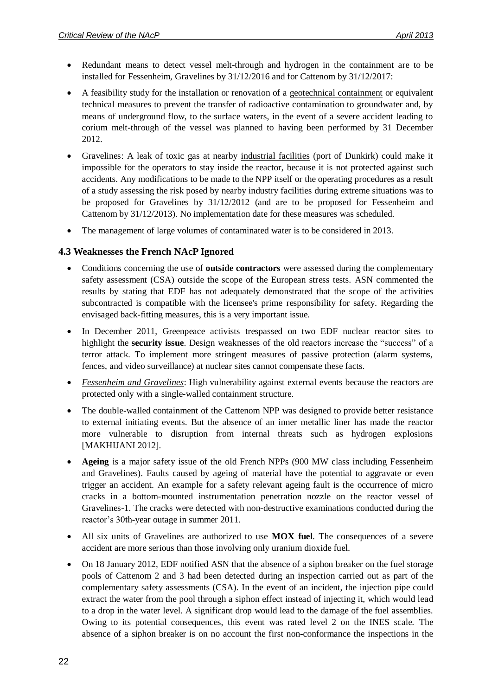- Redundant means to detect vessel melt-through and hydrogen in the containment are to be installed for Fessenheim, Gravelines by 31/12/2016 and for Cattenom by 31/12/2017:
- A feasibility study for the installation or renovation of a geotechnical containment or equivalent technical measures to prevent the transfer of radioactive contamination to groundwater and, by means of underground flow, to the surface waters, in the event of a severe accident leading to corium melt-through of the vessel was planned to having been performed by 31 December 2012.
- Gravelines: A leak of toxic gas at nearby industrial facilities (port of Dunkirk) could make it impossible for the operators to stay inside the reactor, because it is not protected against such accidents. Any modifications to be made to the NPP itself or the operating procedures as a result of a study assessing the risk posed by nearby industry facilities during extreme situations was to be proposed for Gravelines by 31/12/2012 (and are to be proposed for Fessenheim and Cattenom by 31/12/2013). No implementation date for these measures was scheduled.
- The management of large volumes of contaminated water is to be considered in 2013.

#### <span id="page-21-0"></span>**4.3 Weaknesses the French NAcP Ignored**

- Conditions concerning the use of **outside contractors** were assessed during the complementary safety assessment (CSA) outside the scope of the European stress tests. ASN commented the results by stating that EDF has not adequately demonstrated that the scope of the activities subcontracted is compatible with the licensee's prime responsibility for safety. Regarding the envisaged back-fitting measures, this is a very important issue.
- In December 2011, Greenpeace activists trespassed on two EDF nuclear reactor sites to highlight the **security issue**. Design weaknesses of the old reactors increase the "success" of a terror attack. To implement more stringent measures of passive protection (alarm systems, fences, and video surveillance) at nuclear sites cannot compensate these facts.
- *Fessenheim and Gravelines*: High vulnerability against external events because the reactors are protected only with a single-walled containment structure.
- The double-walled containment of the Cattenom NPP was designed to provide better resistance to external initiating events. But the absence of an inner metallic liner has made the reactor more vulnerable to disruption from internal threats such as hydrogen explosions [MAKHIJANI 2012].
- **Ageing** is a major safety issue of the old French NPPs (900 MW class including Fessenheim and Gravelines). Faults caused by ageing of material have the potential to aggravate or even trigger an accident. An example for a safety relevant ageing fault is the occurrence of micro cracks in a bottom-mounted instrumentation penetration nozzle on the reactor vessel of Gravelines-1. The cracks were detected with non-destructive examinations conducted during the reactor's 30th-year outage in summer 2011.
- All six units of Gravelines are authorized to use **MOX fuel**. The consequences of a severe accident are more serious than those involving only uranium dioxide fuel.
- On 18 January 2012, EDF notified ASN that the absence of a siphon breaker on the fuel storage pools of Cattenom 2 and 3 had been detected during an inspection carried out as part of the complementary safety assessments (CSA). In the event of an incident, the injection pipe could extract the water from the pool through a siphon effect instead of injecting it, which would lead to a drop in the water level. A significant drop would lead to the damage of the fuel assemblies. Owing to its potential consequences, this event was rated level 2 on the INES scale. The absence of a siphon breaker is on no account the first non-conformance the inspections in the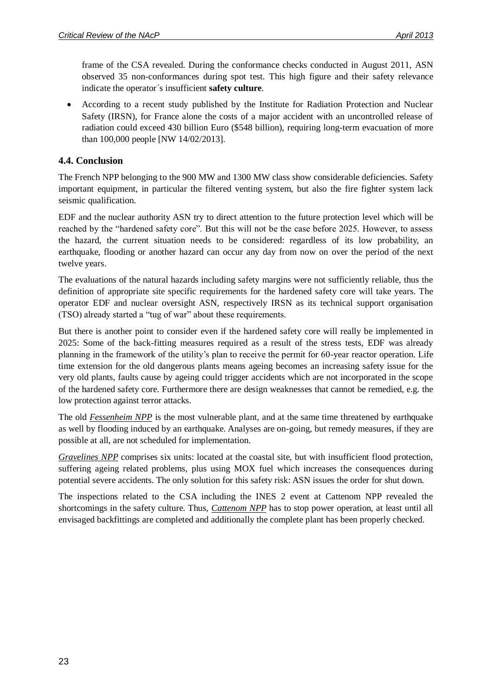frame of the CSA revealed. During the conformance checks conducted in August 2011, ASN observed 35 non-conformances during spot test. This high figure and their safety relevance indicate the operator´s insufficient **safety culture**.

 According to a recent study published by the Institute for Radiation Protection and Nuclear Safety (IRSN), for France alone the costs of a major accident with an uncontrolled release of radiation could exceed 430 billion Euro (\$548 billion), requiring long-term evacuation of more than 100,000 people [NW 14/02/2013].

#### <span id="page-22-0"></span>**4.4. Conclusion**

The French NPP belonging to the 900 MW and 1300 MW class show considerable deficiencies. Safety important equipment, in particular the filtered venting system, but also the fire fighter system lack seismic qualification.

EDF and the nuclear authority ASN try to direct attention to the future protection level which will be reached by the "hardened safety core". But this will not be the case before 2025. However, to assess the hazard, the current situation needs to be considered: regardless of its low probability, an earthquake, flooding or another hazard can occur any day from now on over the period of the next twelve years.

The evaluations of the natural hazards including safety margins were not sufficiently reliable, thus the definition of appropriate site specific requirements for the hardened safety core will take years. The operator EDF and nuclear oversight ASN, respectively IRSN as its technical support organisation (TSO) already started a "tug of war" about these requirements.

But there is another point to consider even if the hardened safety core will really be implemented in 2025: Some of the back-fitting measures required as a result of the stress tests, EDF was already planning in the framework of the utility's plan to receive the permit for 60-year reactor operation. Life time extension for the old dangerous plants means ageing becomes an increasing safety issue for the very old plants, faults cause by ageing could trigger accidents which are not incorporated in the scope of the hardened safety core. Furthermore there are design weaknesses that cannot be remedied, e.g. the low protection against terror attacks.

The old *Fessenheim NPP* is the most vulnerable plant, and at the same time threatened by earthquake as well by flooding induced by an earthquake. Analyses are on-going, but remedy measures, if they are possible at all, are not scheduled for implementation.

*Gravelines NPP* comprises six units: located at the coastal site, but with insufficient flood protection, suffering ageing related problems, plus using MOX fuel which increases the consequences during potential severe accidents. The only solution for this safety risk: ASN issues the order for shut down.

The inspections related to the CSA including the INES 2 event at Cattenom NPP revealed the shortcomings in the safety culture. Thus, *Cattenom NPP* has to stop power operation, at least until all envisaged backfittings are completed and additionally the complete plant has been properly checked.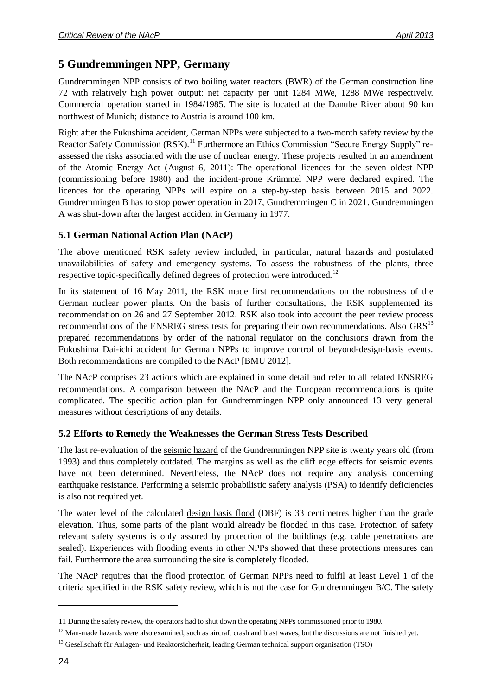# <span id="page-23-0"></span>**5 Gundremmingen NPP, Germany**

Gundremmingen NPP consists of two boiling water reactors (BWR) of the German construction line 72 with relatively high power output: net capacity per unit 1284 MWe, 1288 MWe respectively. Commercial operation started in 1984/1985. The site is located at the Danube River about 90 km northwest of Munich; distance to Austria is around 100 km.

Right after the Fukushima accident, German NPPs were subjected to a two-month safety review by the Reactor Safety Commission (RSK).<sup>11</sup> Furthermore an Ethics Commission "Secure Energy Supply" reassessed the risks associated with the use of nuclear energy. These projects resulted in an amendment of the Atomic Energy Act (August 6, 2011): The operational licences for the seven oldest NPP (commissioning before 1980) and the incident-prone Krümmel NPP were declared expired. The licences for the operating NPPs will expire on a step-by-step basis between 2015 and 2022. Gundremmingen B has to stop power operation in 2017, Gundremmingen C in 2021. Gundremmingen A was shut-down after the largest accident in Germany in 1977.

### <span id="page-23-1"></span>**5.1 German National Action Plan (NAcP)**

The above mentioned RSK safety review included, in particular, natural hazards and postulated unavailabilities of safety and emergency systems. To assess the robustness of the plants, three respective topic-specifically defined degrees of protection were introduced.<sup>12</sup>

In its statement of 16 May 2011, the RSK made first recommendations on the robustness of the German nuclear power plants. On the basis of further consultations, the RSK supplemented its recommendation on 26 and 27 September 2012. RSK also took into account the peer review process recommendations of the ENSREG stress tests for preparing their own recommendations. Also  $GRS<sup>13</sup>$ prepared recommendations by order of the national regulator on the conclusions drawn from the Fukushima Dai-ichi accident for German NPPs to improve control of beyond-design-basis events. Both recommendations are compiled to the NAcP [BMU 2012].

The NAcP comprises 23 actions which are explained in some detail and refer to all related ENSREG recommendations. A comparison between the NAcP and the European recommendations is quite complicated. The specific action plan for Gundremmingen NPP only announced 13 very general measures without descriptions of any details.

#### <span id="page-23-2"></span>**5.2 Efforts to Remedy the Weaknesses the German Stress Tests Described**

The last re-evaluation of the seismic hazard of the Gundremmingen NPP site is twenty years old (from 1993) and thus completely outdated. The margins as well as the cliff edge effects for seismic events have not been determined. Nevertheless, the NAcP does not require any analysis concerning earthquake resistance. Performing a seismic probabilistic safety analysis (PSA) to identify deficiencies is also not required yet.

The water level of the calculated design basis flood (DBF) is 33 centimetres higher than the grade elevation. Thus, some parts of the plant would already be flooded in this case. Protection of safety relevant safety systems is only assured by protection of the buildings (e.g. cable penetrations are sealed). Experiences with flooding events in other NPPs showed that these protections measures can fail. Furthermore the area surrounding the site is completely flooded.

The NAcP requires that the flood protection of German NPPs need to fulfil at least Level 1 of the criteria specified in the RSK safety review, which is not the case for Gundremmingen B/C. The safety

1

<sup>11</sup> During the safety review, the operators had to shut down the operating NPPs commissioned prior to 1980.

 $12$  Man-made hazards were also examined, such as aircraft crash and blast waves, but the discussions are not finished yet.

<sup>&</sup>lt;sup>13</sup> Gesellschaft für Anlagen- und Reaktorsicherheit, leading German technical support organisation (TSO)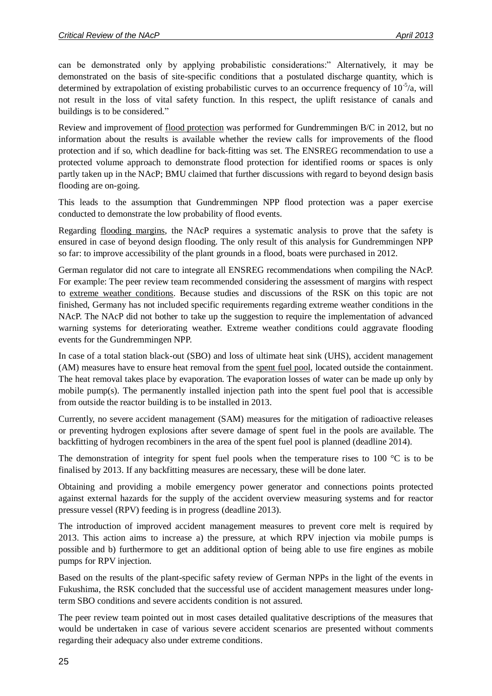can be demonstrated only by applying probabilistic considerations:" Alternatively, it may be demonstrated on the basis of site-specific conditions that a postulated discharge quantity, which is determined by extrapolation of existing probabilistic curves to an occurrence frequency of  $10^{-5}/a$ , will not result in the loss of vital safety function. In this respect, the uplift resistance of canals and buildings is to be considered."

Review and improvement of flood protection was performed for Gundremmingen B/C in 2012, but no information about the results is available whether the review calls for improvements of the flood protection and if so, which deadline for back-fitting was set. The ENSREG recommendation to use a protected volume approach to demonstrate flood protection for identified rooms or spaces is only partly taken up in the NAcP; BMU claimed that further discussions with regard to beyond design basis flooding are on-going.

This leads to the assumption that Gundremmingen NPP flood protection was a paper exercise conducted to demonstrate the low probability of flood events.

Regarding flooding margins, the NAcP requires a systematic analysis to prove that the safety is ensured in case of beyond design flooding. The only result of this analysis for Gundremmingen NPP so far: to improve accessibility of the plant grounds in a flood, boats were purchased in 2012.

German regulator did not care to integrate all ENSREG recommendations when compiling the NAcP. For example: The peer review team recommended considering the assessment of margins with respect to extreme weather conditions. Because studies and discussions of the RSK on this topic are not finished, Germany has not included specific requirements regarding extreme weather conditions in the NAcP. The NAcP did not bother to take up the suggestion to require the implementation of advanced warning systems for deteriorating weather. Extreme weather conditions could aggravate flooding events for the Gundremmingen NPP.

In case of a total station black-out (SBO) and loss of ultimate heat sink (UHS), accident management (AM) measures have to ensure heat removal from the spent fuel pool, located outside the containment. The heat removal takes place by evaporation. The evaporation losses of water can be made up only by mobile pump(s). The permanently installed injection path into the spent fuel pool that is accessible from outside the reactor building is to be installed in 2013.

Currently, no severe accident management (SAM) measures for the mitigation of radioactive releases or preventing hydrogen explosions after severe damage of spent fuel in the pools are available. The backfitting of hydrogen recombiners in the area of the spent fuel pool is planned (deadline 2014).

The demonstration of integrity for spent fuel pools when the temperature rises to 100  $^{\circ}$ C is to be finalised by 2013. If any backfitting measures are necessary, these will be done later.

Obtaining and providing a mobile emergency power generator and connections points protected against external hazards for the supply of the accident overview measuring systems and for reactor pressure vessel (RPV) feeding is in progress (deadline 2013).

The introduction of improved accident management measures to prevent core melt is required by 2013. This action aims to increase a) the pressure, at which RPV injection via mobile pumps is possible and b) furthermore to get an additional option of being able to use fire engines as mobile pumps for RPV injection.

Based on the results of the plant-specific safety review of German NPPs in the light of the events in Fukushima, the RSK concluded that the successful use of accident management measures under longterm SBO conditions and severe accidents condition is not assured.

The peer review team pointed out in most cases detailed qualitative descriptions of the measures that would be undertaken in case of various severe accident scenarios are presented without comments regarding their adequacy also under extreme conditions.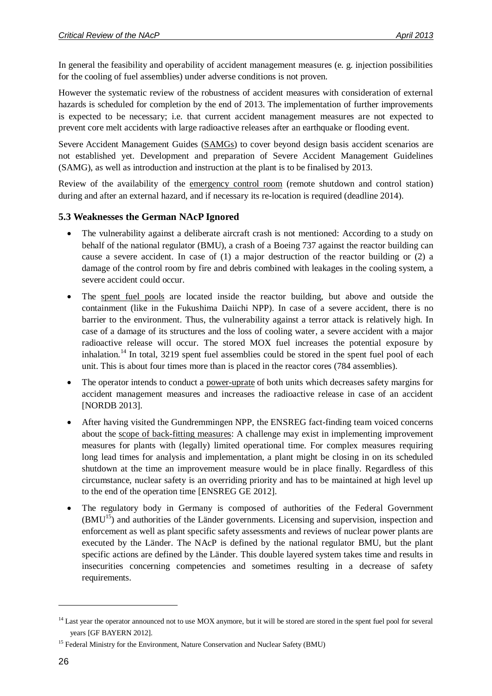In general the feasibility and operability of accident management measures (e. g. injection possibilities for the cooling of fuel assemblies) under adverse conditions is not proven.

However the systematic review of the robustness of accident measures with consideration of external hazards is scheduled for completion by the end of 2013. The implementation of further improvements is expected to be necessary; i.e. that current accident management measures are not expected to prevent core melt accidents with large radioactive releases after an earthquake or flooding event.

Severe Accident Management Guides (SAMGs) to cover beyond design basis accident scenarios are not established yet. Development and preparation of Severe Accident Management Guidelines (SAMG), as well as introduction and instruction at the plant is to be finalised by 2013.

Review of the availability of the emergency control room (remote shutdown and control station) during and after an external hazard, and if necessary its re-location is required (deadline 2014).

### <span id="page-25-0"></span>**5.3 Weaknesses the German NAcP Ignored**

- The vulnerability against a deliberate aircraft crash is not mentioned: According to a study on behalf of the national regulator (BMU), a crash of a Boeing 737 against the reactor building can cause a severe accident. In case of (1) a major destruction of the reactor building or (2) a damage of the control room by fire and debris combined with leakages in the cooling system, a severe accident could occur.
- The spent fuel pools are located inside the reactor building, but above and outside the containment (like in the Fukushima Daiichi NPP). In case of a severe accident, there is no barrier to the environment. Thus, the vulnerability against a terror attack is relatively high. In case of a damage of its structures and the loss of cooling water, a severe accident with a major radioactive release will occur. The stored MOX fuel increases the potential exposure by inhalation.<sup>14</sup> In total, 3219 spent fuel assemblies could be stored in the spent fuel pool of each unit. This is about four times more than is placed in the reactor cores (784 assemblies).
- The operator intends to conduct a power-uprate of both units which decreases safety margins for accident management measures and increases the radioactive release in case of an accident [NORDB 2013].
- After having visited the Gundremmingen NPP, the ENSREG fact-finding team voiced concerns about the scope of back-fitting measures: A challenge may exist in implementing improvement measures for plants with (legally) limited operational time. For complex measures requiring long lead times for analysis and implementation, a plant might be closing in on its scheduled shutdown at the time an improvement measure would be in place finally. Regardless of this circumstance, nuclear safety is an overriding priority and has to be maintained at high level up to the end of the operation time [ENSREG GE 2012].
- The regulatory body in Germany is composed of authorities of the Federal Government (BMU<sup>15</sup>) and authorities of the Länder governments. Licensing and supervision, inspection and enforcement as well as plant specific safety assessments and reviews of nuclear power plants are executed by the Länder. The NAcP is defined by the national regulator BMU, but the plant specific actions are defined by the Länder. This double layered system takes time and results in insecurities concerning competencies and sometimes resulting in a decrease of safety requirements.

1

<sup>&</sup>lt;sup>14</sup> Last year the operator announced not to use MOX anymore, but it will be stored are stored in the spent fuel pool for several years [GF BAYERN 2012].

<sup>&</sup>lt;sup>15</sup> Federal Ministry for the Environment, Nature Conservation and Nuclear Safety (BMU)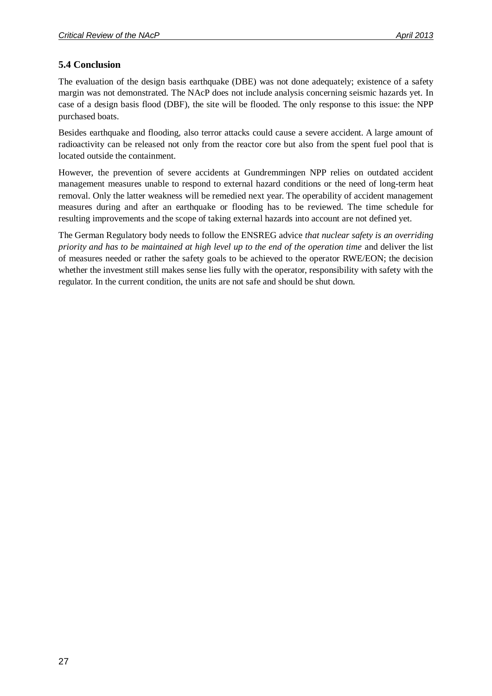### <span id="page-26-0"></span>**5.4 Conclusion**

The evaluation of the design basis earthquake (DBE) was not done adequately; existence of a safety margin was not demonstrated. The NAcP does not include analysis concerning seismic hazards yet. In case of a design basis flood (DBF), the site will be flooded. The only response to this issue: the NPP purchased boats.

Besides earthquake and flooding, also terror attacks could cause a severe accident. A large amount of radioactivity can be released not only from the reactor core but also from the spent fuel pool that is located outside the containment.

However, the prevention of severe accidents at Gundremmingen NPP relies on outdated accident management measures unable to respond to external hazard conditions or the need of long-term heat removal. Only the latter weakness will be remedied next year. The operability of accident management measures during and after an earthquake or flooding has to be reviewed. The time schedule for resulting improvements and the scope of taking external hazards into account are not defined yet.

The German Regulatory body needs to follow the ENSREG advice *that nuclear safety is an overriding priority and has to be maintained at high level up to the end of the operation time* and deliver the list of measures needed or rather the safety goals to be achieved to the operator RWE/EON; the decision whether the investment still makes sense lies fully with the operator, responsibility with safety with the regulator. In the current condition, the units are not safe and should be shut down.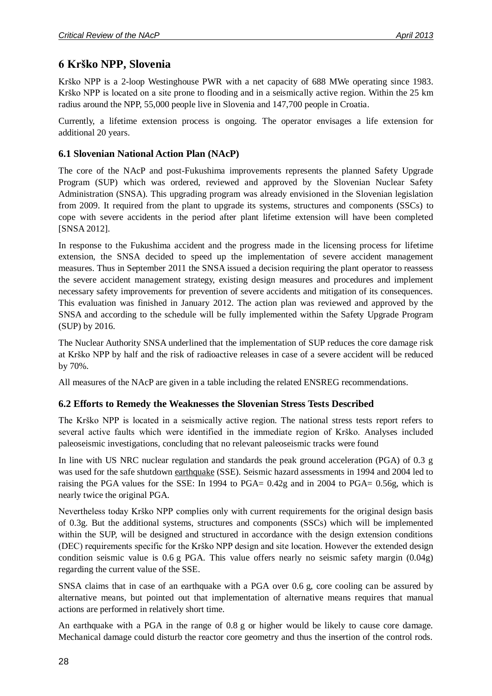# <span id="page-27-0"></span>**6 Krško NPP, Slovenia**

Krško NPP is a 2-loop Westinghouse PWR with a net capacity of 688 MWe operating since 1983. Krško NPP is located on a site prone to flooding and in a seismically active region. Within the 25 km radius around the NPP, 55,000 people live in Slovenia and 147,700 people in Croatia.

Currently, a lifetime extension process is ongoing. The operator envisages a life extension for additional 20 years.

### <span id="page-27-1"></span>**6.1 Slovenian National Action Plan (NAcP)**

The core of the NAcP and post-Fukushima improvements represents the planned Safety Upgrade Program (SUP) which was ordered, reviewed and approved by the Slovenian Nuclear Safety Administration (SNSA). This upgrading program was already envisioned in the Slovenian legislation from 2009. It required from the plant to upgrade its systems, structures and components (SSCs) to cope with severe accidents in the period after plant lifetime extension will have been completed [SNSA 2012].

In response to the Fukushima accident and the progress made in the licensing process for lifetime extension, the SNSA decided to speed up the implementation of severe accident management measures. Thus in September 2011 the SNSA issued a decision requiring the plant operator to reassess the severe accident management strategy, existing design measures and procedures and implement necessary safety improvements for prevention of severe accidents and mitigation of its consequences. This evaluation was finished in January 2012. The action plan was reviewed and approved by the SNSA and according to the schedule will be fully implemented within the Safety Upgrade Program (SUP) by 2016.

The Nuclear Authority SNSA underlined that the implementation of SUP reduces the core damage risk at Krško NPP by half and the risk of radioactive releases in case of a severe accident will be reduced by 70%.

All measures of the NAcP are given in a table including the related ENSREG recommendations.

#### <span id="page-27-2"></span>**6.2 Efforts to Remedy the Weaknesses the Slovenian Stress Tests Described**

The Krško NPP is located in a seismically active region. The national stress tests report refers to several active faults which were identified in the immediate region of Krško. Analyses included paleoseismic investigations, concluding that no relevant paleoseismic tracks were found

In line with US NRC nuclear regulation and standards the peak ground acceleration (PGA) of 0.3 g was used for the safe shutdown earthquake (SSE). Seismic hazard assessments in 1994 and 2004 led to raising the PGA values for the SSE: In 1994 to PGA= 0.42g and in 2004 to PGA= 0.56g, which is nearly twice the original PGA.

Nevertheless today Krško NPP complies only with current requirements for the original design basis of 0.3g. But the additional systems, structures and components (SSCs) which will be implemented within the SUP, will be designed and structured in accordance with the design extension conditions (DEC) requirements specific for the Krško NPP design and site location. However the extended design condition seismic value is 0.6 g PGA. This value offers nearly no seismic safety margin (0.04g) regarding the current value of the SSE.

SNSA claims that in case of an earthquake with a PGA over 0.6 g, core cooling can be assured by alternative means, but pointed out that implementation of alternative means requires that manual actions are performed in relatively short time.

An earthquake with a PGA in the range of 0.8 g or higher would be likely to cause core damage. Mechanical damage could disturb the reactor core geometry and thus the insertion of the control rods.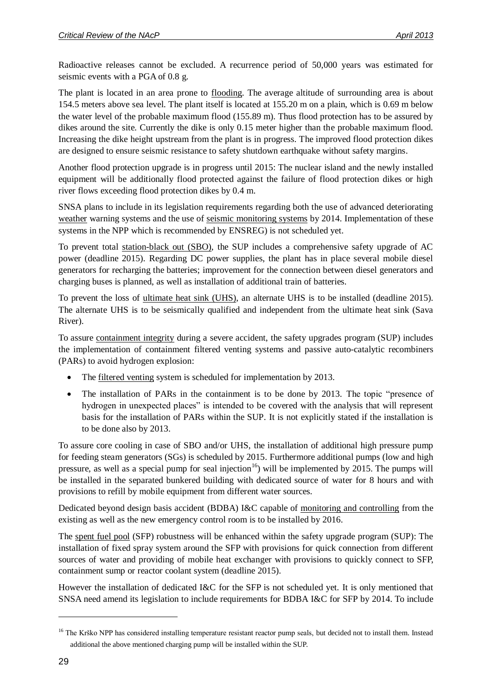Radioactive releases cannot be excluded. A recurrence period of 50,000 years was estimated for seismic events with a PGA of 0.8 g.

The plant is located in an area prone to flooding. The average altitude of surrounding area is about 154.5 meters above sea level. The plant itself is located at 155.20 m on a plain, which is 0.69 m below the water level of the probable maximum flood (155.89 m). Thus flood protection has to be assured by dikes around the site. Currently the dike is only 0.15 meter higher than the probable maximum flood. Increasing the dike height upstream from the plant is in progress. The improved flood protection dikes are designed to ensure seismic resistance to safety shutdown earthquake without safety margins.

Another flood protection upgrade is in progress until 2015: The nuclear island and the newly installed equipment will be additionally flood protected against the failure of flood protection dikes or high river flows exceeding flood protection dikes by 0.4 m.

SNSA plans to include in its legislation requirements regarding both the use of advanced deteriorating weather warning systems and the use of <u>seismic monitoring systems</u> by 2014. Implementation of these systems in the NPP which is recommended by ENSREG) is not scheduled yet.

To prevent total station-black out (SBO), the SUP includes a comprehensive safety upgrade of AC power (deadline 2015). Regarding DC power supplies, the plant has in place several mobile diesel generators for recharging the batteries; improvement for the connection between diesel generators and charging buses is planned, as well as installation of additional train of batteries.

To prevent the loss of ultimate heat sink (UHS), an alternate UHS is to be installed (deadline 2015). The alternate UHS is to be seismically qualified and independent from the ultimate heat sink (Sava River).

To assure containment integrity during a severe accident, the safety upgrades program (SUP) includes the implementation of containment filtered venting systems and passive auto-catalytic recombiners (PARs) to avoid hydrogen explosion:

- The filtered venting system is scheduled for implementation by 2013.
- The installation of PARs in the containment is to be done by 2013. The topic "presence of hydrogen in unexpected places" is intended to be covered with the analysis that will represent basis for the installation of PARs within the SUP. It is not explicitly stated if the installation is to be done also by 2013.

To assure core cooling in case of SBO and/or UHS, the installation of additional high pressure pump for feeding steam generators (SGs) is scheduled by 2015. Furthermore additional pumps (low and high pressure, as well as a special pump for seal injection<sup>16</sup>) will be implemented by 2015. The pumps will be installed in the separated bunkered building with dedicated source of water for 8 hours and with provisions to refill by mobile equipment from different water sources.

Dedicated beyond design basis accident (BDBA) I&C capable of monitoring and controlling from the existing as well as the new emergency control room is to be installed by 2016.

The spent fuel pool (SFP) robustness will be enhanced within the safety upgrade program (SUP): The installation of fixed spray system around the SFP with provisions for quick connection from different sources of water and providing of mobile heat exchanger with provisions to quickly connect to SFP, containment sump or reactor coolant system (deadline 2015).

However the installation of dedicated I&C for the SFP is not scheduled yet. It is only mentioned that SNSA need amend its legislation to include requirements for BDBA I&C for SFP by 2014. To include

<sup>&</sup>lt;sup>16</sup> The Krško NPP has considered installing temperature resistant reactor pump seals, but decided not to install them. Instead additional the above mentioned charging pump will be installed within the SUP.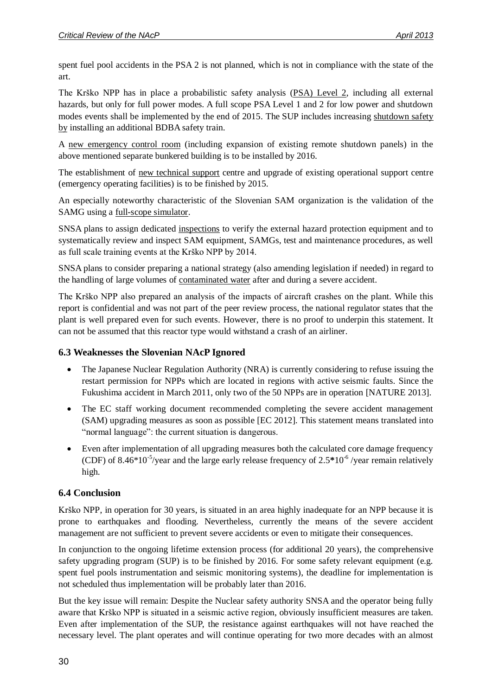spent fuel pool accidents in the PSA 2 is not planned, which is not in compliance with the state of the art.

The Krško NPP has in place a probabilistic safety analysis (PSA) Level 2, including all external hazards, but only for full power modes. A full scope PSA Level 1 and 2 for low power and shutdown modes events shall be implemented by the end of 2015. The SUP includes increasing shutdown safety by installing an additional BDBA safety train.

A new emergency control room (including expansion of existing remote shutdown panels) in the above mentioned separate bunkered building is to be installed by 2016.

The establishment of new technical support centre and upgrade of existing operational support centre (emergency operating facilities) is to be finished by 2015.

An especially noteworthy characteristic of the Slovenian SAM organization is the validation of the SAMG using a full-scope simulator.

SNSA plans to assign dedicated inspections to verify the external hazard protection equipment and to systematically review and inspect SAM equipment, SAMGs, test and maintenance procedures, as well as full scale training events at the Krško NPP by 2014.

SNSA plans to consider preparing a national strategy (also amending legislation if needed) in regard to the handling of large volumes of contaminated water after and during a severe accident.

The Krško NPP also prepared an analysis of the impacts of aircraft crashes on the plant. While this report is confidential and was not part of the peer review process, the national regulator states that the plant is well prepared even for such events. However, there is no proof to underpin this statement. It can not be assumed that this reactor type would withstand a crash of an airliner.

### <span id="page-29-0"></span>**6.3 Weaknesses the Slovenian NAcP Ignored**

- The Japanese Nuclear Regulation Authority (NRA) is currently considering to refuse issuing the restart permission for NPPs which are located in regions with active seismic faults. Since the Fukushima accident in March 2011, only two of the 50 NPPs are in operation [NATURE 2013].
- The EC staff working document recommended completing the severe accident management (SAM) upgrading measures as soon as possible [EC 2012]. This statement means translated into "normal language": the current situation is dangerous.
- Even after implementation of all upgrading measures both the calculated core damage frequency (CDF) of 8.46 $*10^{-5}$ /year and the large early release frequency of  $2.5*10^{-6}$  /year remain relatively high.

#### <span id="page-29-1"></span>**6.4 Conclusion**

Krško NPP, in operation for 30 years, is situated in an area highly inadequate for an NPP because it is prone to earthquakes and flooding. Nevertheless, currently the means of the severe accident management are not sufficient to prevent severe accidents or even to mitigate their consequences.

In conjunction to the ongoing lifetime extension process (for additional 20 years), the comprehensive safety upgrading program (SUP) is to be finished by 2016. For some safety relevant equipment (e.g. spent fuel pools instrumentation and seismic monitoring systems), the deadline for implementation is not scheduled thus implementation will be probably later than 2016.

But the key issue will remain: Despite the Nuclear safety authority SNSA and the operator being fully aware that Krško NPP is situated in a seismic active region, obviously insufficient measures are taken. Even after implementation of the SUP, the resistance against earthquakes will not have reached the necessary level. The plant operates and will continue operating for two more decades with an almost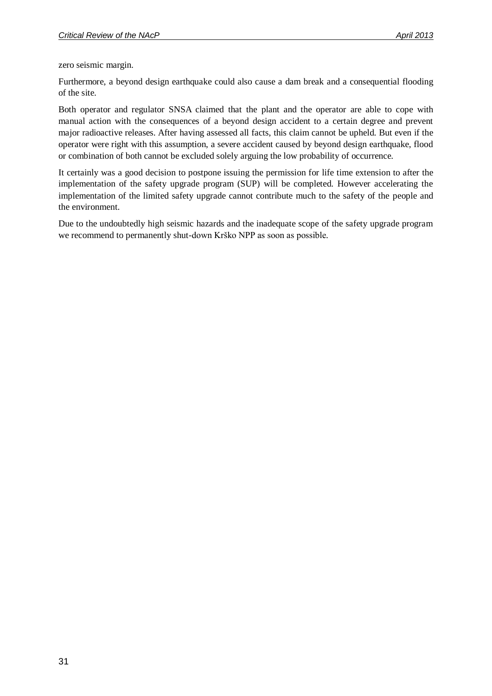zero seismic margin.

Furthermore, a beyond design earthquake could also cause a dam break and a consequential flooding of the site.

Both operator and regulator SNSA claimed that the plant and the operator are able to cope with manual action with the consequences of a beyond design accident to a certain degree and prevent major radioactive releases. After having assessed all facts, this claim cannot be upheld. But even if the operator were right with this assumption, a severe accident caused by beyond design earthquake, flood or combination of both cannot be excluded solely arguing the low probability of occurrence.

It certainly was a good decision to postpone issuing the permission for life time extension to after the implementation of the safety upgrade program (SUP) will be completed. However accelerating the implementation of the limited safety upgrade cannot contribute much to the safety of the people and the environment.

Due to the undoubtedly high seismic hazards and the inadequate scope of the safety upgrade program we recommend to permanently shut-down Krško NPP as soon as possible.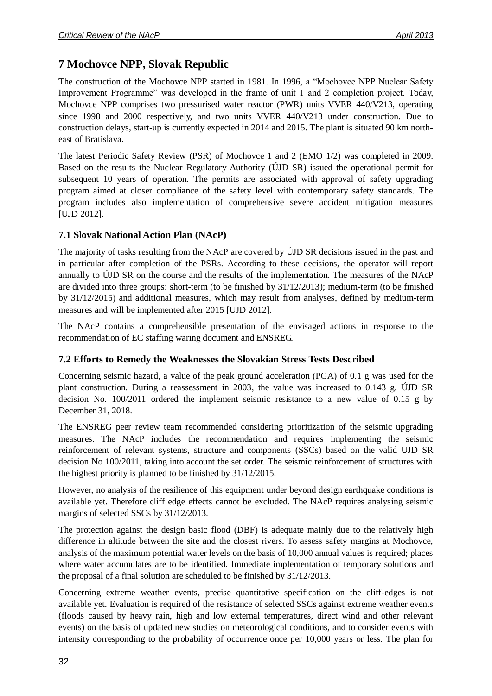# <span id="page-31-0"></span>**7 Mochovce NPP, Slovak Republic**

The construction of the Mochovce NPP started in 1981. In 1996, a "Mochovce NPP Nuclear Safety Improvement Programme" was developed in the frame of unit 1 and 2 completion project. Today, Mochovce NPP comprises two pressurised water reactor (PWR) units VVER 440/V213, operating since 1998 and 2000 respectively, and two units VVER 440/V213 under construction. Due to construction delays, start-up is currently expected in 2014 and 2015. The plant is situated 90 km northeast of Bratislava.

The latest Periodic Safety Review (PSR) of Mochovce 1 and 2 (EMO 1/2) was completed in 2009. Based on the results the Nuclear Regulatory Authority (ÚJD SR) issued the operational permit for subsequent 10 years of operation. The permits are associated with approval of safety upgrading program aimed at closer compliance of the safety level with contemporary safety standards. The program includes also implementation of comprehensive severe accident mitigation measures [UJD 2012].

### <span id="page-31-1"></span>**7.1 Slovak National Action Plan (NAcP)**

The majority of tasks resulting from the NAcP are covered by ÚJD SR decisions issued in the past and in particular after completion of the PSRs. According to these decisions, the operator will report annually to ÚJD SR on the course and the results of the implementation. The measures of the NAcP are divided into three groups: short-term (to be finished by 31/12/2013); medium-term (to be finished by 31/12/2015) and additional measures, which may result from analyses, defined by medium-term measures and will be implemented after 2015 [UJD 2012].

The NAcP contains a comprehensible presentation of the envisaged actions in response to the recommendation of EC staffing waring document and ENSREG.

#### <span id="page-31-2"></span>**7.2 Efforts to Remedy the Weaknesses the Slovakian Stress Tests Described**

Concerning seismic hazard, a value of the peak ground acceleration (PGA) of 0.1 g was used for the plant construction. During a reassessment in 2003, the value was increased to 0.143 g. ÚJD SR decision No. 100/2011 ordered the implement seismic resistance to a new value of 0.15 g by December 31, 2018.

The ENSREG peer review team recommended considering prioritization of the seismic upgrading measures. The NAcP includes the recommendation and requires implementing the seismic reinforcement of relevant systems, structure and components (SSCs) based on the valid UJD SR decision No 100/2011, taking into account the set order. The seismic reinforcement of structures with the highest priority is planned to be finished by 31/12/2015.

However, no analysis of the resilience of this equipment under beyond design earthquake conditions is available yet. Therefore cliff edge effects cannot be excluded. The NAcP requires analysing seismic margins of selected SSCs by 31/12/2013.

The protection against the design basic flood (DBF) is adequate mainly due to the relatively high difference in altitude between the site and the closest rivers. To assess safety margins at Mochovce, analysis of the maximum potential water levels on the basis of 10,000 annual values is required; places where water accumulates are to be identified. Immediate implementation of temporary solutions and the proposal of a final solution are scheduled to be finished by 31/12/2013.

Concerning extreme weather events, precise quantitative specification on the cliff-edges is not available yet. Evaluation is required of the resistance of selected SSCs against extreme weather events (floods caused by heavy rain, high and low external temperatures, direct wind and other relevant events) on the basis of updated new studies on meteorological conditions, and to consider events with intensity corresponding to the probability of occurrence once per 10,000 years or less. The plan for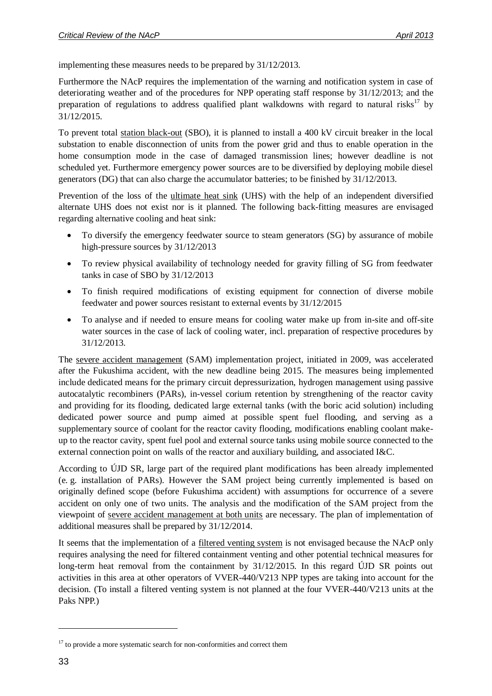implementing these measures needs to be prepared by 31/12/2013.

Furthermore the NAcP requires the implementation of the warning and notification system in case of deteriorating weather and of the procedures for NPP operating staff response by 31/12/2013; and the preparation of regulations to address qualified plant walkdowns with regard to natural risks<sup>17</sup> by 31/12/2015.

To prevent total station black-out (SBO), it is planned to install a 400 kV circuit breaker in the local substation to enable disconnection of units from the power grid and thus to enable operation in the home consumption mode in the case of damaged transmission lines; however deadline is not scheduled yet. Furthermore emergency power sources are to be diversified by deploying mobile diesel generators (DG) that can also charge the accumulator batteries; to be finished by 31/12/2013.

Prevention of the loss of the ultimate heat sink (UHS) with the help of an independent diversified alternate UHS does not exist nor is it planned. The following back-fitting measures are envisaged regarding alternative cooling and heat sink:

- To diversify the emergency feedwater source to steam generators (SG) by assurance of mobile high-pressure sources by 31/12/2013
- To review physical availability of technology needed for gravity filling of SG from feedwater tanks in case of SBO by 31/12/2013
- To finish required modifications of existing equipment for connection of diverse mobile feedwater and power sources resistant to external events by 31/12/2015
- To analyse and if needed to ensure means for cooling water make up from in-site and off-site water sources in the case of lack of cooling water, incl. preparation of respective procedures by 31/12/2013.

The severe accident management (SAM) implementation project, initiated in 2009, was accelerated after the Fukushima accident, with the new deadline being 2015. The measures being implemented include dedicated means for the primary circuit depressurization, hydrogen management using passive autocatalytic recombiners (PARs), in-vessel corium retention by strengthening of the reactor cavity and providing for its flooding, dedicated large external tanks (with the boric acid solution) including dedicated power source and pump aimed at possible spent fuel flooding, and serving as a supplementary source of coolant for the reactor cavity flooding, modifications enabling coolant makeup to the reactor cavity, spent fuel pool and external source tanks using mobile source connected to the external connection point on walls of the reactor and auxiliary building, and associated I&C.

According to ÚJD SR, large part of the required plant modifications has been already implemented (e. g. installation of PARs). However the SAM project being currently implemented is based on originally defined scope (before Fukushima accident) with assumptions for occurrence of a severe accident on only one of two units. The analysis and the modification of the SAM project from the viewpoint of severe accident management at both units are necessary. The plan of implementation of additional measures shall be prepared by 31/12/2014.

It seems that the implementation of a filtered venting system is not envisaged because the NAcP only requires analysing the need for filtered containment venting and other potential technical measures for long-term heat removal from the containment by 31/12/2015. In this regard ÚJD SR points out activities in this area at other operators of VVER-440/V213 NPP types are taking into account for the decision. (To install a filtered venting system is not planned at the four VVER-440/V213 units at the Paks NPP.)

 $17$  to provide a more systematic search for non-conformities and correct them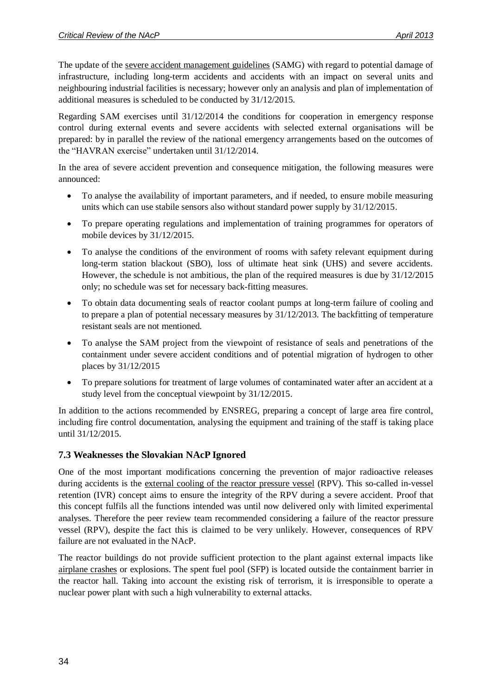The update of the severe accident management guidelines (SAMG) with regard to potential damage of infrastructure, including long-term accidents and accidents with an impact on several units and neighbouring industrial facilities is necessary; however only an analysis and plan of implementation of additional measures is scheduled to be conducted by 31/12/2015.

Regarding SAM exercises until 31/12/2014 the conditions for cooperation in emergency response control during external events and severe accidents with selected external organisations will be prepared: by in parallel the review of the national emergency arrangements based on the outcomes of the "HAVRAN exercise" undertaken until 31/12/2014.

In the area of severe accident prevention and consequence mitigation, the following measures were announced:

- To analyse the availability of important parameters, and if needed, to ensure mobile measuring units which can use stabile sensors also without standard power supply by 31/12/2015.
- To prepare operating regulations and implementation of training programmes for operators of mobile devices by 31/12/2015.
- To analyse the conditions of the environment of rooms with safety relevant equipment during long-term station blackout (SBO), loss of ultimate heat sink (UHS) and severe accidents. However, the schedule is not ambitious, the plan of the required measures is due by 31/12/2015 only; no schedule was set for necessary back-fitting measures.
- To obtain data documenting seals of reactor coolant pumps at long-term failure of cooling and to prepare a plan of potential necessary measures by 31/12/2013. The backfitting of temperature resistant seals are not mentioned.
- To analyse the SAM project from the viewpoint of resistance of seals and penetrations of the containment under severe accident conditions and of potential migration of hydrogen to other places by 31/12/2015
- To prepare solutions for treatment of large volumes of contaminated water after an accident at a study level from the conceptual viewpoint by 31/12/2015.

In addition to the actions recommended by ENSREG, preparing a concept of large area fire control, including fire control documentation, analysing the equipment and training of the staff is taking place until 31/12/2015.

#### <span id="page-33-0"></span>**7.3 Weaknesses the Slovakian NAcP Ignored**

One of the most important modifications concerning the prevention of major radioactive releases during accidents is the external cooling of the reactor pressure vessel (RPV). This so-called in-vessel retention (IVR) concept aims to ensure the integrity of the RPV during a severe accident. Proof that this concept fulfils all the functions intended was until now delivered only with limited experimental analyses. Therefore the peer review team recommended considering a failure of the reactor pressure vessel (RPV), despite the fact this is claimed to be very unlikely. However, consequences of RPV failure are not evaluated in the NAcP.

The reactor buildings do not provide sufficient protection to the plant against external impacts like airplane crashes or explosions. The spent fuel pool (SFP) is located outside the containment barrier in the reactor hall. Taking into account the existing risk of terrorism, it is irresponsible to operate a nuclear power plant with such a high vulnerability to external attacks.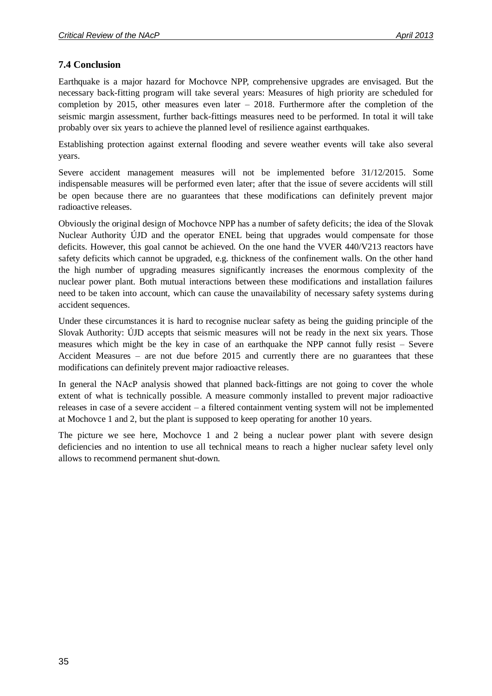#### <span id="page-34-0"></span>**7.4 Conclusion**

Earthquake is a major hazard for Mochovce NPP, comprehensive upgrades are envisaged. But the necessary back-fitting program will take several years: Measures of high priority are scheduled for completion by 2015, other measures even later  $-2018$ . Furthermore after the completion of the seismic margin assessment, further back-fittings measures need to be performed. In total it will take probably over six years to achieve the planned level of resilience against earthquakes.

Establishing protection against external flooding and severe weather events will take also several years.

Severe accident management measures will not be implemented before 31/12/2015. Some indispensable measures will be performed even later; after that the issue of severe accidents will still be open because there are no guarantees that these modifications can definitely prevent major radioactive releases.

Obviously the original design of Mochovce NPP has a number of safety deficits; the idea of the Slovak Nuclear Authority ÚJD and the operator ENEL being that upgrades would compensate for those deficits. However, this goal cannot be achieved. On the one hand the VVER 440/V213 reactors have safety deficits which cannot be upgraded, e.g. thickness of the confinement walls. On the other hand the high number of upgrading measures significantly increases the enormous complexity of the nuclear power plant. Both mutual interactions between these modifications and installation failures need to be taken into account, which can cause the unavailability of necessary safety systems during accident sequences.

Under these circumstances it is hard to recognise nuclear safety as being the guiding principle of the Slovak Authority: ÚJD accepts that seismic measures will not be ready in the next six years. Those measures which might be the key in case of an earthquake the NPP cannot fully resist – Severe Accident Measures – are not due before 2015 and currently there are no guarantees that these modifications can definitely prevent major radioactive releases.

In general the NAcP analysis showed that planned back-fittings are not going to cover the whole extent of what is technically possible. A measure commonly installed to prevent major radioactive releases in case of a severe accident – a filtered containment venting system will not be implemented at Mochovce 1 and 2, but the plant is supposed to keep operating for another 10 years.

The picture we see here, Mochovce 1 and 2 being a nuclear power plant with severe design deficiencies and no intention to use all technical means to reach a higher nuclear safety level only allows to recommend permanent shut-down.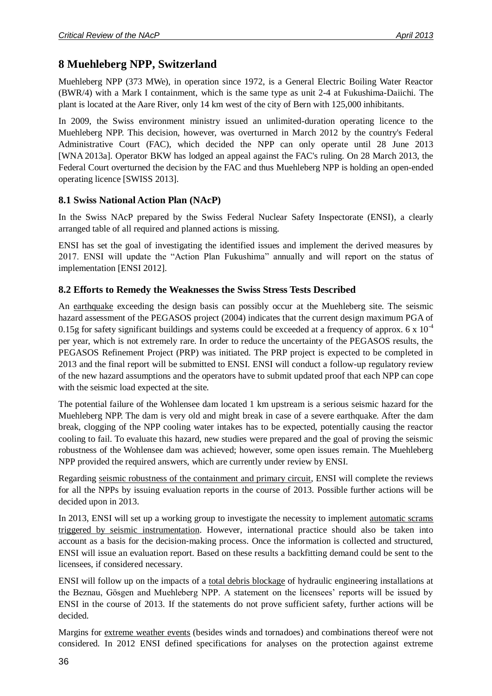# <span id="page-35-0"></span>**8 Muehleberg NPP, Switzerland**

Muehleberg NPP (373 MWe), in operation since 1972, is a General Electric Boiling Water Reactor (BWR/4) with a Mark I containment, which is the same type as unit 2-4 at Fukushima-Daiichi. The plant is located at the Aare River, only 14 km west of the city of Bern with 125,000 inhibitants.

In 2009, the Swiss environment ministry issued an unlimited-duration operating licence to the Muehleberg NPP. This decision, however, was overturned in March 2012 by the country's Federal Administrative Court (FAC), which decided the NPP can only operate until 28 June 2013 [WNA 2013a]. Operator BKW has lodged an appeal against the FAC's ruling. On 28 March 2013, the Federal Court overturned the decision by the FAC and thus Muehleberg NPP is holding an open-ended operating licence [SWISS 2013].

### <span id="page-35-1"></span>**8.1 Swiss National Action Plan (NAcP)**

In the Swiss NAcP prepared by the Swiss Federal Nuclear Safety Inspectorate (ENSI), a clearly arranged table of all required and planned actions is missing.

ENSI has set the goal of investigating the identified issues and implement the derived measures by 2017. ENSI will update the "Action Plan Fukushima" annually and will report on the status of implementation [ENSI 2012].

### <span id="page-35-2"></span>**8.2 Efforts to Remedy the Weaknesses the Swiss Stress Tests Described**

An earthquake exceeding the design basis can possibly occur at the Muehleberg site. The seismic hazard assessment of the PEGASOS project (2004) indicates that the current design maximum PGA of 0.15g for safety significant buildings and systems could be exceeded at a frequency of approx. 6 x  $10^{-4}$ per year, which is not extremely rare. In order to reduce the uncertainty of the PEGASOS results, the PEGASOS Refinement Project (PRP) was initiated. The PRP project is expected to be completed in 2013 and the final report will be submitted to ENSI. ENSI will conduct a follow-up regulatory review of the new hazard assumptions and the operators have to submit updated proof that each NPP can cope with the seismic load expected at the site.

The potential failure of the Wohlensee dam located 1 km upstream is a serious seismic hazard for the Muehleberg NPP. The dam is very old and might break in case of a severe earthquake. After the dam break, clogging of the NPP cooling water intakes has to be expected, potentially causing the reactor cooling to fail. To evaluate this hazard, new studies were prepared and the goal of proving the seismic robustness of the Wohlensee dam was achieved; however, some open issues remain. The Muehleberg NPP provided the required answers, which are currently under review by ENSI.

Regarding seismic robustness of the containment and primary circuit, ENSI will complete the reviews for all the NPPs by issuing evaluation reports in the course of 2013. Possible further actions will be decided upon in 2013.

In 2013, ENSI will set up a working group to investigate the necessity to implement automatic scrams triggered by seismic instrumentation. However, international practice should also be taken into account as a basis for the decision‐making process. Once the information is collected and structured, ENSI will issue an evaluation report. Based on these results a backfitting demand could be sent to the licensees, if considered necessary.

ENSI will follow up on the impacts of a total debris blockage of hydraulic engineering installations at the Beznau, Gösgen and Muehleberg NPP. A statement on the licensees' reports will be issued by ENSI in the course of 2013. If the statements do not prove sufficient safety, further actions will be decided.

Margins for extreme weather events (besides winds and tornadoes) and combinations thereof were not considered. In 2012 ENSI defined specifications for analyses on the protection against extreme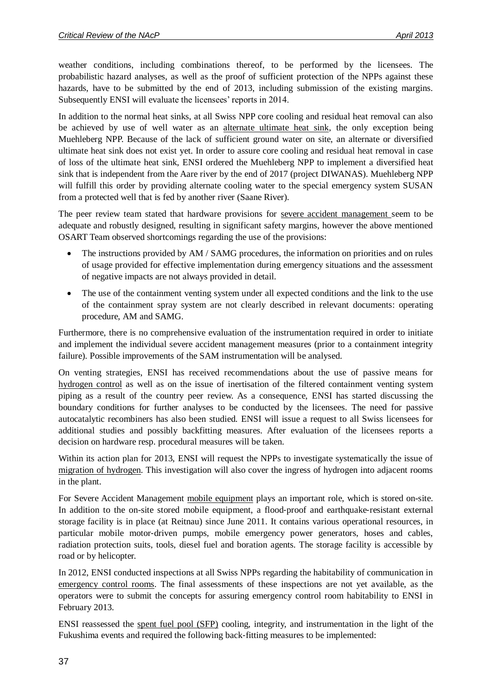weather conditions, including combinations thereof, to be performed by the licensees. The probabilistic hazard analyses, as well as the proof of sufficient protection of the NPPs against these hazards, have to be submitted by the end of 2013, including submission of the existing margins. Subsequently ENSI will evaluate the licensees' reports in 2014.

In addition to the normal heat sinks, at all Swiss NPP core cooling and residual heat removal can also be achieved by use of well water as an alternate ultimate heat sink, the only exception being Muehleberg NPP. Because of the lack of sufficient ground water on site, an alternate or diversified ultimate heat sink does not exist yet. In order to assure core cooling and residual heat removal in case of loss of the ultimate heat sink, ENSI ordered the Muehleberg NPP to implement a diversified heat sink that is independent from the Aare river by the end of 2017 (project DIWANAS). Muehleberg NPP will fulfill this order by providing alternate cooling water to the special emergency system SUSAN from a protected well that is fed by another river (Saane River).

The peer review team stated that hardware provisions for severe accident management seem to be adequate and robustly designed, resulting in significant safety margins, however the above mentioned OSART Team observed shortcomings regarding the use of the provisions:

- The instructions provided by AM / SAMG procedures, the information on priorities and on rules of usage provided for effective implementation during emergency situations and the assessment of negative impacts are not always provided in detail.
- The use of the containment venting system under all expected conditions and the link to the use of the containment spray system are not clearly described in relevant documents: operating procedure, AM and SAMG.

Furthermore, there is no comprehensive evaluation of the instrumentation required in order to initiate and implement the individual severe accident management measures (prior to a containment integrity failure). Possible improvements of the SAM instrumentation will be analysed.

On venting strategies, ENSI has received recommendations about the use of passive means for hydrogen control as well as on the issue of inertisation of the filtered containment venting system piping as a result of the country peer review. As a consequence, ENSI has started discussing the boundary conditions for further analyses to be conducted by the licensees. The need for passive autocatalytic recombiners has also been studied. ENSI will issue a request to all Swiss licensees for additional studies and possibly backfitting measures. After evaluation of the licensees reports a decision on hardware resp. procedural measures will be taken.

Within its action plan for 2013, ENSI will request the NPPs to investigate systematically the issue of migration of hydrogen. This investigation will also cover the ingress of hydrogen into adjacent rooms in the plant.

For Severe Accident Management mobile equipment plays an important role, which is stored on-site. In addition to the on-site stored mobile equipment, a flood-proof and earthquake-resistant external storage facility is in place (at Reitnau) since June 2011. It contains various operational resources, in particular mobile motor-driven pumps, mobile emergency power generators, hoses and cables, radiation protection suits, tools, diesel fuel and boration agents. The storage facility is accessible by road or by helicopter.

In 2012, ENSI conducted inspections at all Swiss NPPs regarding the habitability of communication in emergency control rooms. The final assessments of these inspections are not yet available, as the operators were to submit the concepts for assuring emergency control room habitability to ENSI in February 2013.

ENSI reassessed the spent fuel pool (SFP) cooling, integrity, and instrumentation in the light of the Fukushima events and required the following back‐fitting measures to be implemented: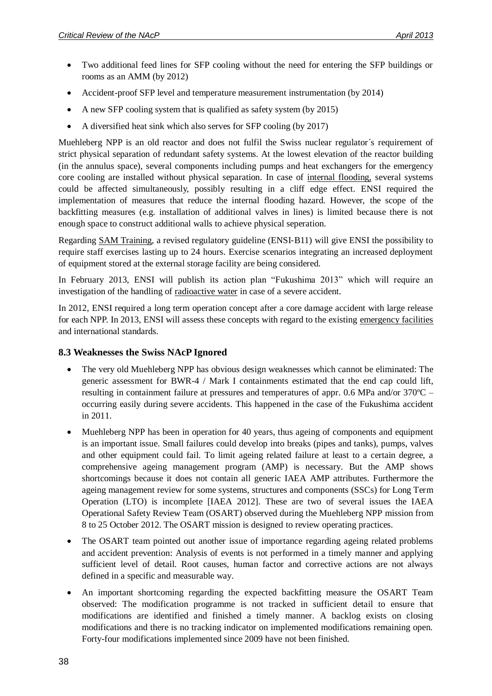- Two additional feed lines for SFP cooling without the need for entering the SFP buildings or rooms as an AMM (by 2012)
- Accident-proof SFP level and temperature measurement instrumentation (by 2014)
- A new SFP cooling system that is qualified as safety system (by 2015)
- A diversified heat sink which also serves for SFP cooling (by 2017)

Muehleberg NPP is an old reactor and does not fulfil the Swiss nuclear regulator's requirement of strict physical separation of redundant safety systems. At the lowest elevation of the reactor building (in the annulus space), several components including pumps and heat exchangers for the emergency core cooling are installed without physical separation. In case of internal flooding, several systems could be affected simultaneously, possibly resulting in a cliff edge effect. ENSI required the implementation of measures that reduce the internal flooding hazard. However, the scope of the backfitting measures (e.g. installation of additional valves in lines) is limited because there is not enough space to construct additional walls to achieve physical seperation.

Regarding SAM Training, a revised regulatory guideline (ENSI‐B11) will give ENSI the possibility to require staff exercises lasting up to 24 hours. Exercise scenarios integrating an increased deployment of equipment stored at the external storage facility are being considered.

In February 2013, ENSI will publish its action plan "Fukushima 2013" which will require an investigation of the handling of radioactive water in case of a severe accident.

In 2012, ENSI required a long term operation concept after a core damage accident with large release for each NPP. In 2013, ENSI will assess these concepts with regard to the existing emergency facilities and international standards.

#### <span id="page-37-0"></span>**8.3 Weaknesses the Swiss NAcP Ignored**

- The very old Muehleberg NPP has obvious design weaknesses which cannot be eliminated: The generic assessment for BWR-4 / Mark I containments estimated that the end cap could lift, resulting in containment failure at pressures and temperatures of appr. 0.6 MPa and/or 370ºC – occurring easily during severe accidents. This happened in the case of the Fukushima accident in 2011.
- Muehleberg NPP has been in operation for 40 years, thus ageing of components and equipment is an important issue. Small failures could develop into breaks (pipes and tanks), pumps, valves and other equipment could fail. To limit ageing related failure at least to a certain degree, a comprehensive ageing management program (AMP) is necessary. But the AMP shows shortcomings because it does not contain all generic IAEA AMP attributes. Furthermore the ageing management review for some systems, structures and components (SSCs) for Long Term Operation (LTO) is incomplete [IAEA 2012]. These are two of several issues the IAEA Operational Safety Review Team (OSART) observed during the Muehleberg NPP mission from 8 to 25 October 2012. The OSART mission is designed to review operating practices.
- The OSART team pointed out another issue of importance regarding ageing related problems and accident prevention: Analysis of events is not performed in a timely manner and applying sufficient level of detail. Root causes, human factor and corrective actions are not always defined in a specific and measurable way.
- An important shortcoming regarding the expected backfitting measure the OSART Team observed: The modification programme is not tracked in sufficient detail to ensure that modifications are identified and finished a timely manner. A backlog exists on closing modifications and there is no tracking indicator on implemented modifications remaining open. Forty-four modifications implemented since 2009 have not been finished.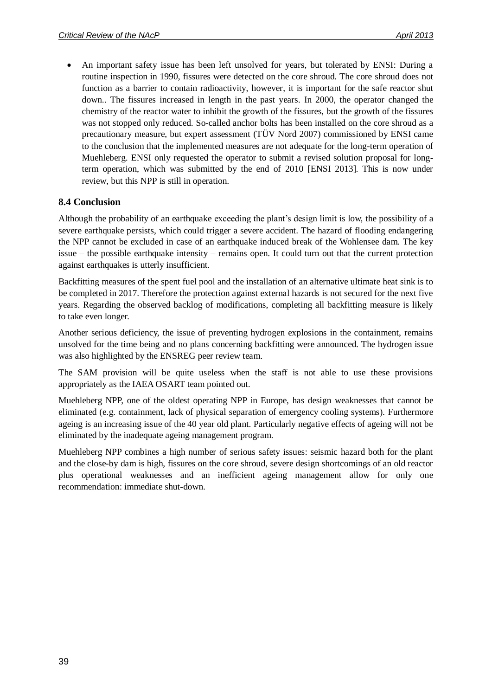An important safety issue has been left unsolved for years, but tolerated by ENSI: During a routine inspection in 1990, fissures were detected on the core shroud. The core shroud does not function as a barrier to contain radioactivity, however, it is important for the safe reactor shut down.. The fissures increased in length in the past years. In 2000, the operator changed the chemistry of the reactor water to inhibit the growth of the fissures, but the growth of the fissures was not stopped only reduced. So-called anchor bolts has been installed on the core shroud as a precautionary measure, but expert assessment (TÜV Nord 2007) commissioned by ENSI came to the conclusion that the implemented measures are not adequate for the long-term operation of Muehleberg. ENSI only requested the operator to submit a revised solution proposal for longterm operation, which was submitted by the end of 2010 [ENSI 2013]. This is now under review, but this NPP is still in operation.

#### <span id="page-38-0"></span>**8.4 Conclusion**

Although the probability of an earthquake exceeding the plant's design limit is low, the possibility of a severe earthquake persists, which could trigger a severe accident. The hazard of flooding endangering the NPP cannot be excluded in case of an earthquake induced break of the Wohlensee dam. The key issue – the possible earthquake intensity – remains open. It could turn out that the current protection against earthquakes is utterly insufficient.

Backfitting measures of the spent fuel pool and the installation of an alternative ultimate heat sink is to be completed in 2017. Therefore the protection against external hazards is not secured for the next five years. Regarding the observed backlog of modifications, completing all backfitting measure is likely to take even longer.

Another serious deficiency, the issue of preventing hydrogen explosions in the containment, remains unsolved for the time being and no plans concerning backfitting were announced. The hydrogen issue was also highlighted by the ENSREG peer review team.

The SAM provision will be quite useless when the staff is not able to use these provisions appropriately as the IAEA OSART team pointed out.

Muehleberg NPP, one of the oldest operating NPP in Europe, has design weaknesses that cannot be eliminated (e.g. containment, lack of physical separation of emergency cooling systems). Furthermore ageing is an increasing issue of the 40 year old plant. Particularly negative effects of ageing will not be eliminated by the inadequate ageing management program.

Muehleberg NPP combines a high number of serious safety issues: seismic hazard both for the plant and the close-by dam is high, fissures on the core shroud, severe design shortcomings of an old reactor plus operational weaknesses and an inefficient ageing management allow for only one recommendation: immediate shut-down.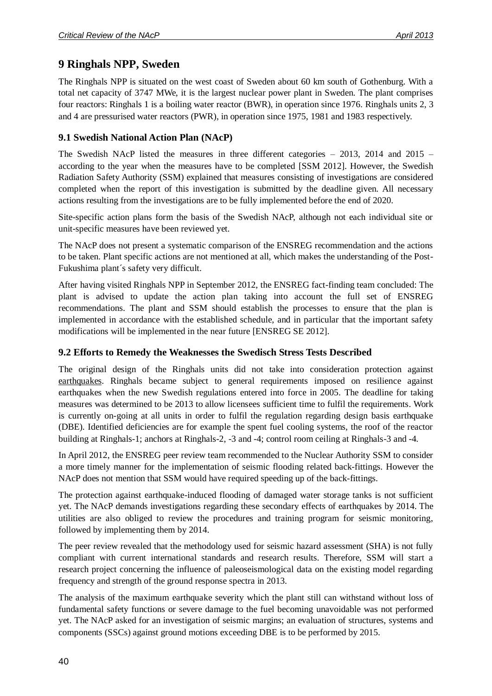# <span id="page-39-0"></span>**9 Ringhals NPP, Sweden**

The Ringhals NPP is situated on the west coast of Sweden about 60 km south of Gothenburg. With a total net capacity of 3747 MWe, it is the largest nuclear power plant in Sweden. The plant comprises four reactors: Ringhals 1 is a boiling water reactor (BWR), in operation since 1976. Ringhals units 2, 3 and 4 are pressurised water reactors (PWR), in operation since 1975, 1981 and 1983 respectively.

#### <span id="page-39-1"></span>**9.1 Swedish National Action Plan (NAcP)**

The Swedish NAcP listed the measures in three different categories – 2013, 2014 and 2015 – according to the year when the measures have to be completed [SSM 2012]. However, the Swedish Radiation Safety Authority (SSM) explained that measures consisting of investigations are considered completed when the report of this investigation is submitted by the deadline given. All necessary actions resulting from the investigations are to be fully implemented before the end of 2020.

Site-specific action plans form the basis of the Swedish NAcP, although not each individual site or unit-specific measures have been reviewed yet.

The NAcP does not present a systematic comparison of the ENSREG recommendation and the actions to be taken. Plant specific actions are not mentioned at all, which makes the understanding of the Post-Fukushima plant´s safety very difficult.

After having visited Ringhals NPP in September 2012, the ENSREG fact-finding team concluded: The plant is advised to update the action plan taking into account the full set of ENSREG recommendations. The plant and SSM should establish the processes to ensure that the plan is implemented in accordance with the established schedule, and in particular that the important safety modifications will be implemented in the near future [ENSREG SE 2012].

### <span id="page-39-2"></span>**9.2 Efforts to Remedy the Weaknesses the Swedisch Stress Tests Described**

The original design of the Ringhals units did not take into consideration protection against earthquakes. Ringhals became subject to general requirements imposed on resilience against earthquakes when the new Swedish regulations entered into force in 2005. The deadline for taking measures was determined to be 2013 to allow licensees sufficient time to fulfil the requirements. Work is currently on-going at all units in order to fulfil the regulation regarding design basis earthquake (DBE). Identified deficiencies are for example the spent fuel cooling systems, the roof of the reactor building at Ringhals-1; anchors at Ringhals-2, -3 and -4; control room ceiling at Ringhals-3 and -4*.*

In April 2012, the ENSREG peer review team recommended to the Nuclear Authority SSM to consider a more timely manner for the implementation of seismic flooding related back-fittings. However the NAcP does not mention that SSM would have required speeding up of the back-fittings.

The protection against earthquake-induced flooding of damaged water storage tanks is not sufficient yet. The NAcP demands investigations regarding these secondary effects of earthquakes by 2014. The utilities are also obliged to review the procedures and training program for seismic monitoring, followed by implementing them by 2014.

The peer review revealed that the methodology used for seismic hazard assessment (SHA) is not fully compliant with current international standards and research results. Therefore, SSM will start a research project concerning the influence of paleoseismological data on the existing model regarding frequency and strength of the ground response spectra in 2013.

The analysis of the maximum earthquake severity which the plant still can withstand without loss of fundamental safety functions or severe damage to the fuel becoming unavoidable was not performed yet. The NAcP asked for an investigation of seismic margins; an evaluation of structures, systems and components (SSCs) against ground motions exceeding DBE is to be performed by 2015.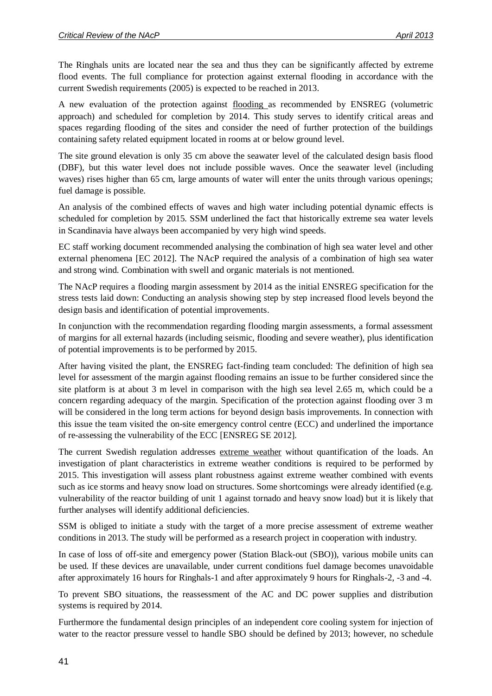The Ringhals units are located near the sea and thus they can be significantly affected by extreme flood events. The full compliance for protection against external flooding in accordance with the current Swedish requirements (2005) is expected to be reached in 2013.

A new evaluation of the protection against flooding as recommended by ENSREG (volumetric approach) and scheduled for completion by 2014. This study serves to identify critical areas and spaces regarding flooding of the sites and consider the need of further protection of the buildings containing safety related equipment located in rooms at or below ground level.

The site ground elevation is only 35 cm above the seawater level of the calculated design basis flood (DBF), but this water level does not include possible waves. Once the seawater level (including waves) rises higher than 65 cm, large amounts of water will enter the units through various openings; fuel damage is possible.

An analysis of the combined effects of waves and high water including potential dynamic effects is scheduled for completion by 2015*.* SSM underlined the fact that historically extreme sea water levels in Scandinavia have always been accompanied by very high wind speeds.

EC staff working document recommended analysing the combination of high sea water level and other external phenomena [EC 2012]. The NAcP required the analysis of a combination of high sea water and strong wind. Combination with swell and organic materials is not mentioned.

The NAcP requires a flooding margin assessment by 2014 as the initial ENSREG specification for the stress tests laid down: Conducting an analysis showing step by step increased flood levels beyond the design basis and identification of potential improvements.

In conjunction with the recommendation regarding flooding margin assessments, a formal assessment of margins for all external hazards (including seismic, flooding and severe weather), plus identification of potential improvements is to be performed by 2015.

After having visited the plant, the ENSREG fact-finding team concluded: The definition of high sea level for assessment of the margin against flooding remains an issue to be further considered since the site platform is at about 3 m level in comparison with the high sea level 2.65 m, which could be a concern regarding adequacy of the margin. Specification of the protection against flooding over 3 m will be considered in the long term actions for beyond design basis improvements. In connection with this issue the team visited the on-site emergency control centre (ECC) and underlined the importance of re-assessing the vulnerability of the ECC [ENSREG SE 2012].

The current Swedish regulation addresses extreme weather without quantification of the loads. An investigation of plant characteristics in extreme weather conditions is required to be performed by 2015. This investigation will assess plant robustness against extreme weather combined with events such as ice storms and heavy snow load on structures. Some shortcomings were already identified (e.g. vulnerability of the reactor building of unit 1 against tornado and heavy snow load) but it is likely that further analyses will identify additional deficiencies.

SSM is obliged to initiate a study with the target of a more precise assessment of extreme weather conditions in 2013. The study will be performed as a research project in cooperation with industry.

In case of loss of off-site and emergency power (Station Black-out (SBO)), various mobile units can be used. If these devices are unavailable, under current conditions fuel damage becomes unavoidable after approximately 16 hours for Ringhals-1 and after approximately 9 hours for Ringhals-2, -3 and -4.

To prevent SBO situations, the reassessment of the AC and DC power supplies and distribution systems is required by 2014.

Furthermore the fundamental design principles of an independent core cooling system for injection of water to the reactor pressure vessel to handle SBO should be defined by 2013; however, no schedule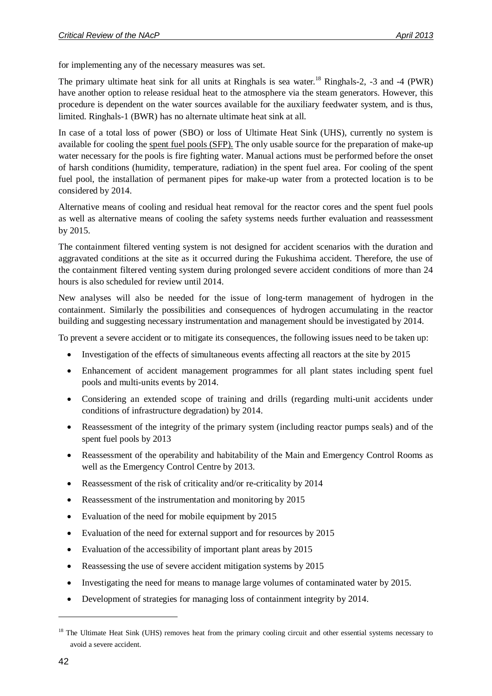for implementing any of the necessary measures was set.

The primary ultimate heat sink for all units at Ringhals is sea water.<sup>18</sup> Ringhals-2, -3 and -4 (PWR) have another option to release residual heat to the atmosphere via the steam generators. However, this procedure is dependent on the water sources available for the auxiliary feedwater system, and is thus, limited. Ringhals-1 (BWR) has no alternate ultimate heat sink at all.

In case of a total loss of power (SBO) or loss of Ultimate Heat Sink (UHS), currently no system is available for cooling the spent fuel pools (SFP). The only usable source for the preparation of make-up water necessary for the pools is fire fighting water. Manual actions must be performed before the onset of harsh conditions (humidity, temperature, radiation) in the spent fuel area. For cooling of the spent fuel pool, the installation of permanent pipes for make-up water from a protected location is to be considered by 2014.

Alternative means of cooling and residual heat removal for the reactor cores and the spent fuel pools as well as alternative means of cooling the safety systems needs further evaluation and reassessment by 2015.

The containment filtered venting system is not designed for accident scenarios with the duration and aggravated conditions at the site as it occurred during the Fukushima accident. Therefore, the use of the containment filtered venting system during prolonged severe accident conditions of more than 24 hours is also scheduled for review until 2014.

New analyses will also be needed for the issue of long-term management of hydrogen in the containment. Similarly the possibilities and consequences of hydrogen accumulating in the reactor building and suggesting necessary instrumentation and management should be investigated by 2014.

To prevent a severe accident or to mitigate its consequences, the following issues need to be taken up:

- Investigation of the effects of simultaneous events affecting all reactors at the site by 2015
- Enhancement of accident management programmes for all plant states including spent fuel pools and multi-units events by 2014.
- Considering an extended scope of training and drills (regarding multi-unit accidents under conditions of infrastructure degradation) by 2014.
- Reassessment of the integrity of the primary system (including reactor pumps seals) and of the spent fuel pools by 2013
- Reassessment of the operability and habitability of the Main and Emergency Control Rooms as well as the Emergency Control Centre by 2013.
- Reassessment of the risk of criticality and/or re-criticality by 2014
- Reassessment of the instrumentation and monitoring by 2015
- Evaluation of the need for mobile equipment by 2015
- Evaluation of the need for external support and for resources by 2015
- Evaluation of the accessibility of important plant areas by 2015
- Reassessing the use of severe accident mitigation systems by 2015
- Investigating the need for means to manage large volumes of contaminated water by 2015.
- Development of strategies for managing loss of containment integrity by 2014.

<sup>&</sup>lt;sup>18</sup> The Ultimate Heat Sink (UHS) removes heat from the primary cooling circuit and other essential systems necessary to avoid a severe accident.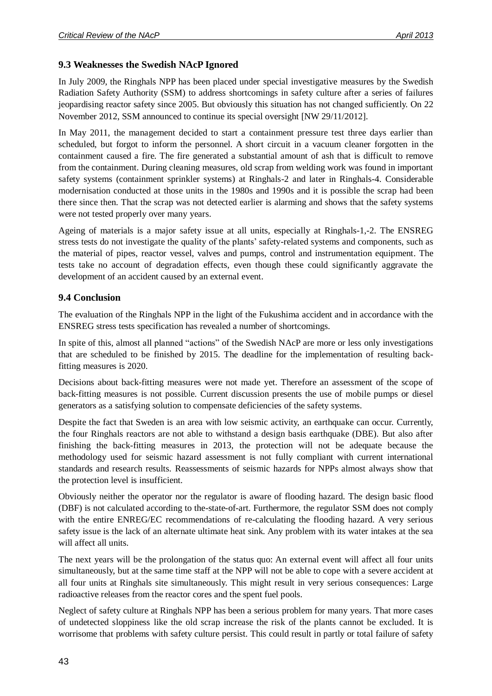#### <span id="page-42-0"></span>**9.3 Weaknesses the Swedish NAcP Ignored**

In July 2009, the Ringhals NPP has been placed under special investigative measures by the Swedish Radiation Safety Authority (SSM) to address shortcomings in safety culture after a series of failures jeopardising reactor safety since 2005. But obviously this situation has not changed sufficiently. On 22 November 2012, SSM announced to continue its special oversight [NW 29/11/2012].

In May 2011, the management decided to start a containment pressure test three days earlier than scheduled, but forgot to inform the personnel. A short circuit in a vacuum cleaner forgotten in the containment caused a fire. The fire generated a substantial amount of ash that is difficult to remove from the containment. During cleaning measures, old scrap from welding work was found in important safety systems (containment sprinkler systems) at Ringhals-2 and later in Ringhals-4. Considerable modernisation conducted at those units in the 1980s and 1990s and it is possible the scrap had been there since then. That the scrap was not detected earlier is alarming and shows that the safety systems were not tested properly over many years.

Ageing of materials is a major safety issue at all units, especially at Ringhals-1,-2. The ENSREG stress tests do not investigate the quality of the plants' safety-related systems and components, such as the material of pipes, reactor vessel, valves and pumps, control and instrumentation equipment. The tests take no account of degradation effects, even though these could significantly aggravate the development of an accident caused by an external event.

#### <span id="page-42-1"></span>**9.4 Conclusion**

The evaluation of the Ringhals NPP in the light of the Fukushima accident and in accordance with the ENSREG stress tests specification has revealed a number of shortcomings.

In spite of this, almost all planned "actions" of the Swedish NAcP are more or less only investigations that are scheduled to be finished by 2015. The deadline for the implementation of resulting backfitting measures is 2020.

Decisions about back-fitting measures were not made yet. Therefore an assessment of the scope of back-fitting measures is not possible. Current discussion presents the use of mobile pumps or diesel generators as a satisfying solution to compensate deficiencies of the safety systems.

Despite the fact that Sweden is an area with low seismic activity, an earthquake can occur. Currently, the four Ringhals reactors are not able to withstand a design basis earthquake (DBE). But also after finishing the back-fitting measures in 2013, the protection will not be adequate because the methodology used for seismic hazard assessment is not fully compliant with current international standards and research results. Reassessments of seismic hazards for NPPs almost always show that the protection level is insufficient.

Obviously neither the operator nor the regulator is aware of flooding hazard. The design basic flood (DBF) is not calculated according to the-state-of-art. Furthermore, the regulator SSM does not comply with the entire ENREG/EC recommendations of re-calculating the flooding hazard. A very serious safety issue is the lack of an alternate ultimate heat sink. Any problem with its water intakes at the sea will affect all units.

The next years will be the prolongation of the status quo: An external event will affect all four units simultaneously, but at the same time staff at the NPP will not be able to cope with a severe accident at all four units at Ringhals site simultaneously. This might result in very serious consequences: Large radioactive releases from the reactor cores and the spent fuel pools.

Neglect of safety culture at Ringhals NPP has been a serious problem for many years. That more cases of undetected sloppiness like the old scrap increase the risk of the plants cannot be excluded. It is worrisome that problems with safety culture persist. This could result in partly or total failure of safety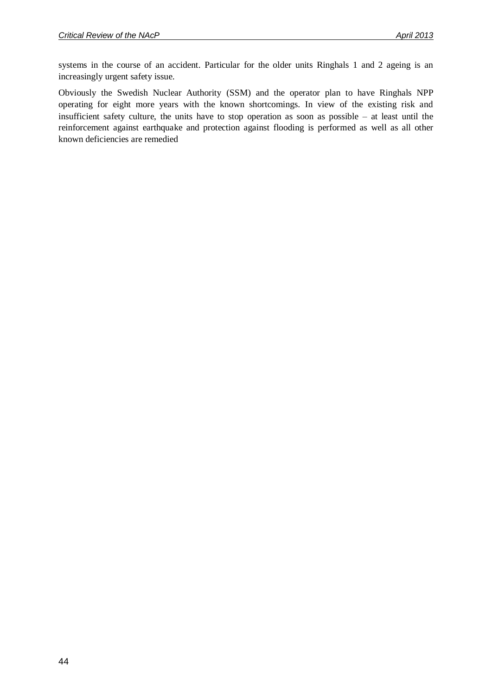systems in the course of an accident. Particular for the older units Ringhals 1 and 2 ageing is an increasingly urgent safety issue.

Obviously the Swedish Nuclear Authority (SSM) and the operator plan to have Ringhals NPP operating for eight more years with the known shortcomings. In view of the existing risk and insufficient safety culture, the units have to stop operation as soon as possible – at least until the reinforcement against earthquake and protection against flooding is performed as well as all other known deficiencies are remedied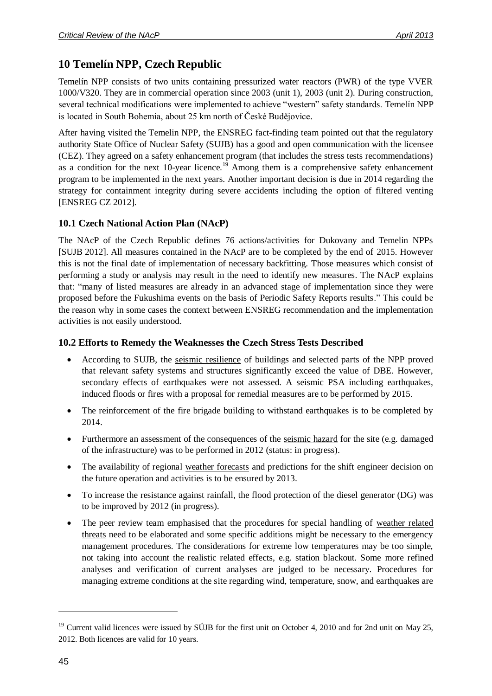# <span id="page-44-0"></span>**10 Temelín NPP, Czech Republic**

Temelín NPP consists of two units containing pressurized water reactors (PWR) of the type VVER 1000/V320. They are in commercial operation since 2003 (unit 1), 2003 (unit 2). During construction, several technical modifications were implemented to achieve "western" safety standards. Temelín NPP is located in South Bohemia, about 25 km north of České Budějovice.

After having visited the Temelin NPP, the ENSREG fact-finding team pointed out that the regulatory authority State Office of Nuclear Safety (SUJB) has a good and open communication with the licensee (CEZ). They agreed on a safety enhancement program (that includes the stress tests recommendations) as a condition for the next  $10$ -year licence.<sup>19</sup> Among them is a comprehensive safety enhancement program to be implemented in the next years. Another important decision is due in 2014 regarding the strategy for containment integrity during severe accidents including the option of filtered venting [ENSREG CZ 2012].

### <span id="page-44-1"></span>**10.1 Czech National Action Plan (NAcP)**

The NAcP of the Czech Republic defines 76 actions/activities for Dukovany and Temelin NPPs [SUJB 2012]. All measures contained in the NAcP are to be completed by the end of 2015. However this is not the final date of implementation of necessary backfitting. Those measures which consist of performing a study or analysis may result in the need to identify new measures. The NAcP explains that: "many of listed measures are already in an advanced stage of implementation since they were proposed before the Fukushima events on the basis of Periodic Safety Reports results." This could be the reason why in some cases the context between ENSREG recommendation and the implementation activities is not easily understood.

### <span id="page-44-2"></span>**10.2 Efforts to Remedy the Weaknesses the Czech Stress Tests Described**

- According to SUJB, the seismic resilience of buildings and selected parts of the NPP proved that relevant safety systems and structures significantly exceed the value of DBE. However, secondary effects of earthquakes were not assessed. A seismic PSA including earthquakes, induced floods or fires with a proposal for remedial measures are to be performed by 2015.
- The reinforcement of the fire brigade building to withstand earthquakes is to be completed by 2014.
- Furthermore an assessment of the consequences of the seismic hazard for the site (e.g. damaged of the infrastructure) was to be performed in 2012 (status: in progress).
- The availability of regional weather forecasts and predictions for the shift engineer decision on the future operation and activities is to be ensured by 2013.
- To increase the resistance against rainfall, the flood protection of the diesel generator (DG) was to be improved by 2012 (in progress).
- The peer review team emphasised that the procedures for special handling of weather related threats need to be elaborated and some specific additions might be necessary to the emergency management procedures. The considerations for extreme low temperatures may be too simple, not taking into account the realistic related effects, e.g. station blackout. Some more refined analyses and verification of current analyses are judged to be necessary. Procedures for managing extreme conditions at the site regarding wind, temperature, snow, and earthquakes are

<sup>&</sup>lt;sup>19</sup> Current valid licences were issued by SÚJB for the first unit on October 4, 2010 and for 2nd unit on May 25, 2012. Both licences are valid for 10 years.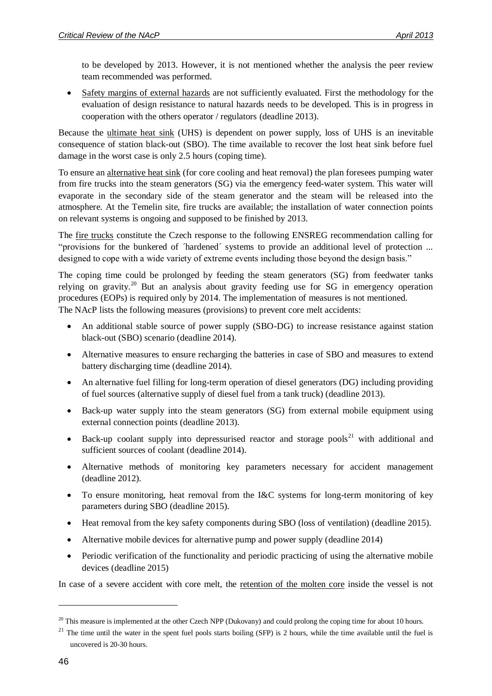to be developed by 2013. However, it is not mentioned whether the analysis the peer review team recommended was performed.

• Safety margins of external hazards are not sufficiently evaluated. First the methodology for the evaluation of design resistance to natural hazards needs to be developed. This is in progress in cooperation with the others operator / regulators (deadline 2013).

Because the ultimate heat sink (UHS) is dependent on power supply, loss of UHS is an inevitable consequence of station black-out (SBO). The time available to recover the lost heat sink before fuel damage in the worst case is only 2.5 hours (coping time).

To ensure an alternative heat sink (for core cooling and heat removal) the plan foresees pumping water from fire trucks into the steam generators (SG) via the emergency feed-water system. This water will evaporate in the secondary side of the steam generator and the steam will be released into the atmosphere. At the Temelin site, fire trucks are available; the installation of water connection points on relevant systems is ongoing and supposed to be finished by 2013.

The fire trucks constitute the Czech response to the following ENSREG recommendation calling for "provisions for the bunkered of ´hardened´ systems to provide an additional level of protection ... designed to cope with a wide variety of extreme events including those beyond the design basis."

The coping time could be prolonged by feeding the steam generators (SG) from feedwater tanks relying on gravity.<sup>20</sup> But an analysis about gravity feeding use for SG in emergency operation procedures (EOPs) is required only by 2014. The implementation of measures is not mentioned. The NAcP lists the following measures (provisions) to prevent core melt accidents:

- An additional stable source of power supply (SBO-DG) to increase resistance against station black-out (SBO) scenario (deadline 2014).
- Alternative measures to ensure recharging the batteries in case of SBO and measures to extend battery discharging time (deadline 2014).
- An alternative fuel filling for long-term operation of diesel generators (DG) including providing of fuel sources (alternative supply of diesel fuel from a tank truck) (deadline 2013).
- Back-up water supply into the steam generators (SG) from external mobile equipment using external connection points (deadline 2013).
- Back-up coolant supply into depressurised reactor and storage pools<sup>21</sup> with additional and sufficient sources of coolant (deadline 2014).
- Alternative methods of monitoring key parameters necessary for accident management (deadline 2012).
- To ensure monitoring, heat removal from the I&C systems for long-term monitoring of key parameters during SBO (deadline 2015).
- Heat removal from the key safety components during SBO (loss of ventilation) (deadline 2015).
- Alternative mobile devices for alternative pump and power supply (deadline 2014)
- Periodic verification of the functionality and periodic practicing of using the alternative mobile devices (deadline 2015)

In case of a severe accident with core melt, the retention of the molten core inside the vessel is not

1

 $20$  This measure is implemented at the other Czech NPP (Dukovany) and could prolong the coping time for about 10 hours.

 $21$  The time until the water in the spent fuel pools starts boiling (SFP) is 2 hours, while the time available until the fuel is uncovered is 20-30 hours.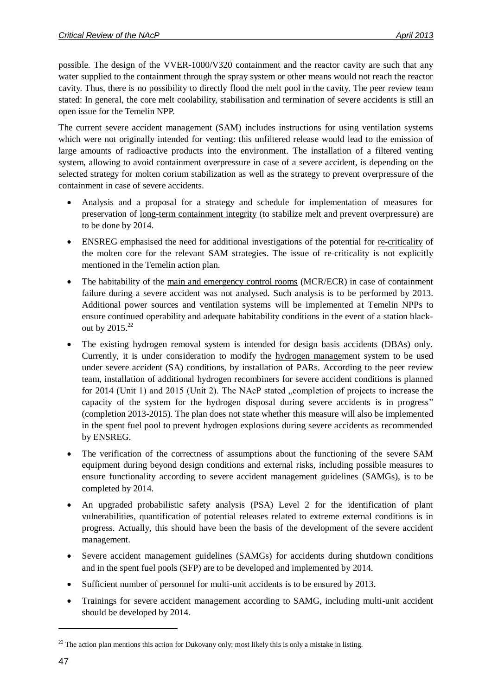possible. The design of the VVER-1000/V320 containment and the reactor cavity are such that any water supplied to the containment through the spray system or other means would not reach the reactor cavity. Thus, there is no possibility to directly flood the melt pool in the cavity. The peer review team stated: In general, the core melt coolability, stabilisation and termination of severe accidents is still an open issue for the Temelin NPP.

The current severe accident management (SAM) includes instructions for using ventilation systems which were not originally intended for venting: this unfiltered release would lead to the emission of large amounts of radioactive products into the environment. The installation of a filtered venting system, allowing to avoid containment overpressure in case of a severe accident, is depending on the selected strategy for molten corium stabilization as well as the strategy to prevent overpressure of the containment in case of severe accidents.

- Analysis and a proposal for a strategy and schedule for implementation of measures for preservation of long-term containment integrity (to stabilize melt and prevent overpressure) are to be done by 2014.
- ENSREG emphasised the need for additional investigations of the potential for re-criticality of the molten core for the relevant SAM strategies. The issue of re-criticality is not explicitly mentioned in the Temelin action plan.
- The habitability of the main and emergency control rooms (MCR/ECR) in case of containment failure during a severe accident was not analysed. Such analysis is to be performed by 2013. Additional power sources and ventilation systems will be implemented at Temelin NPPs to ensure continued operability and adequate habitability conditions in the event of a station blackout by  $2015.<sup>22</sup>$
- The existing hydrogen removal system is intended for design basis accidents (DBAs) only. Currently, it is under consideration to modify the hydrogen management system to be used under severe accident (SA) conditions, by installation of PARs. According to the peer review team, installation of additional hydrogen recombiners for severe accident conditions is planned for 2014 (Unit 1) and 2015 (Unit 2). The NAcP stated  $\alpha$  completion of projects to increase the capacity of the system for the hydrogen disposal during severe accidents is in progress" (completion 2013-2015). The plan does not state whether this measure will also be implemented in the spent fuel pool to prevent hydrogen explosions during severe accidents as recommended by ENSREG.
- The verification of the correctness of assumptions about the functioning of the severe SAM equipment during beyond design conditions and external risks, including possible measures to ensure functionality according to severe accident management guidelines (SAMGs), is to be completed by 2014.
- An upgraded probabilistic safety analysis (PSA) Level 2 for the identification of plant vulnerabilities, quantification of potential releases related to extreme external conditions is in progress. Actually, this should have been the basis of the development of the severe accident management.
- Severe accident management guidelines (SAMGs) for accidents during shutdown conditions and in the spent fuel pools (SFP) are to be developed and implemented by 2014.
- Sufficient number of personnel for multi-unit accidents is to be ensured by 2013.
- Trainings for severe accident management according to SAMG, including multi-unit accident should be developed by 2014.

 $22$  The action plan mentions this action for Dukovany only; most likely this is only a mistake in listing.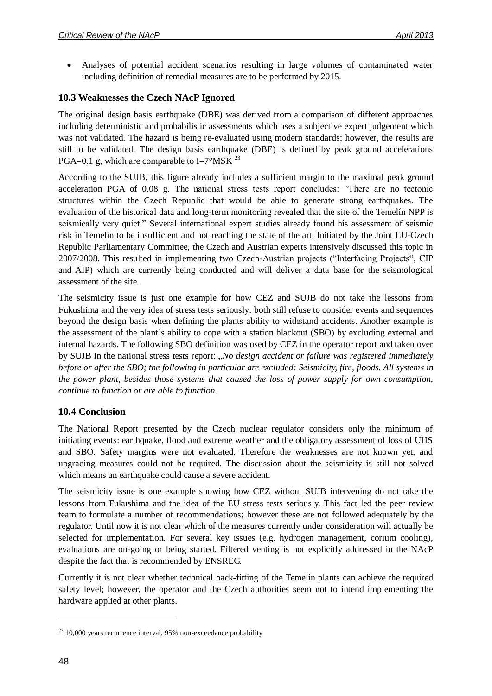Analyses of potential accident scenarios resulting in large volumes of contaminated water including definition of remedial measures are to be performed by 2015.

#### <span id="page-47-0"></span>**10.3 Weaknesses the Czech NAcP Ignored**

The original design basis earthquake (DBE) was derived from a comparison of different approaches including deterministic and probabilistic assessments which uses a subjective expert judgement which was not validated. The hazard is being re-evaluated using modern standards; however, the results are still to be validated. The design basis earthquake (DBE) is defined by peak ground accelerations PGA=0.1 g, which are comparable to  $I=7^{\circ}$ MSK <sup>23</sup>

According to the SUJB, this figure already includes a sufficient margin to the maximal peak ground acceleration PGA of 0.08 g. The national stress tests report concludes: "There are no tectonic structures within the Czech Republic that would be able to generate strong earthquakes. The evaluation of the historical data and long-term monitoring revealed that the site of the Temelín NPP is seismically very quiet." Several international expert studies already found his assessment of seismic risk in Temelín to be insufficient and not reaching the state of the art. Initiated by the Joint EU-Czech Republic Parliamentary Committee, the Czech and Austrian experts intensively discussed this topic in 2007/2008. This resulted in implementing two Czech-Austrian projects ("Interfacing Projects", CIP and AIP) which are currently being conducted and will deliver a data base for the seismological assessment of the site.

The seismicity issue is just one example for how CEZ and SUJB do not take the lessons from Fukushima and the very idea of stress tests seriously: both still refuse to consider events and sequences beyond the design basis when defining the plants ability to withstand accidents. Another example is the assessment of the plant´s ability to cope with a station blackout (SBO) by excluding external and internal hazards. The following SBO definition was used by CEZ in the operator report and taken over by SUJB in the national stress tests report: "*No design accident or failure was registered immediately before or after the SBO; the following in particular are excluded: Seismicity, fire, floods. All systems in the power plant, besides those systems that caused the loss of power supply for own consumption, continue to function or are able to function*.

#### <span id="page-47-1"></span>**10.4 Conclusion**

The National Report presented by the Czech nuclear regulator considers only the minimum of initiating events: earthquake, flood and extreme weather and the obligatory assessment of loss of UHS and SBO. Safety margins were not evaluated. Therefore the weaknesses are not known yet, and upgrading measures could not be required. The discussion about the seismicity is still not solved which means an earthquake could cause a severe accident.

The seismicity issue is one example showing how CEZ without SUJB intervening do not take the lessons from Fukushima and the idea of the EU stress tests seriously. This fact led the peer review team to formulate a number of recommendations; however these are not followed adequately by the regulator. Until now it is not clear which of the measures currently under consideration will actually be selected for implementation. For several key issues (e.g. hydrogen management, corium cooling), evaluations are on-going or being started. Filtered venting is not explicitly addressed in the NAcP despite the fact that is recommended by ENSREG.

Currently it is not clear whether technical back-fitting of the Temelin plants can achieve the required safety level; however, the operator and the Czech authorities seem not to intend implementing the hardware applied at other plants.

 $23$  10,000 years recurrence interval, 95% non-exceedance probability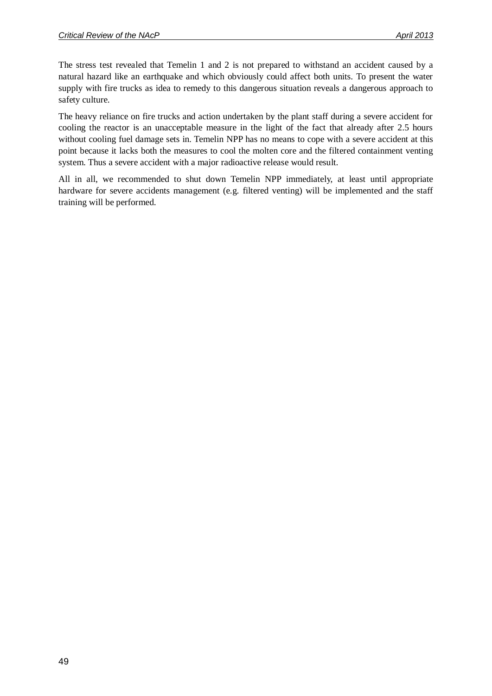The stress test revealed that Temelin 1 and 2 is not prepared to withstand an accident caused by a natural hazard like an earthquake and which obviously could affect both units. To present the water supply with fire trucks as idea to remedy to this dangerous situation reveals a dangerous approach to safety culture.

The heavy reliance on fire trucks and action undertaken by the plant staff during a severe accident for cooling the reactor is an unacceptable measure in the light of the fact that already after 2.5 hours without cooling fuel damage sets in. Temelin NPP has no means to cope with a severe accident at this point because it lacks both the measures to cool the molten core and the filtered containment venting system. Thus a severe accident with a major radioactive release would result.

All in all, we recommended to shut down Temelin NPP immediately, at least until appropriate hardware for severe accidents management (e.g. filtered venting) will be implemented and the staff training will be performed.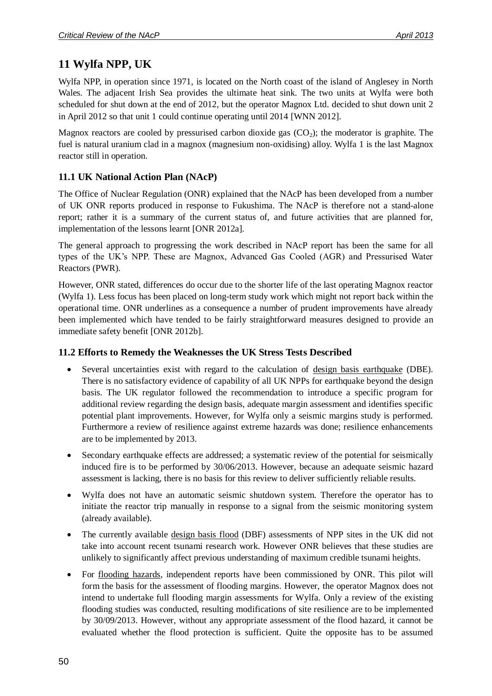# <span id="page-49-0"></span>**11 Wylfa NPP, UK**

Wylfa NPP, in operation since 1971, is located on the North coast of the island of Anglesey in North Wales. The adjacent Irish Sea provides the ultimate heat sink. The two units at Wylfa were both scheduled for shut down at the end of 2012, but the operator Magnox Ltd. decided to shut down unit 2 in April 2012 so that unit 1 could continue operating until 2014 [WNN 2012].

Magnox reactors are cooled by pressurised carbon dioxide gas  $(CO<sub>2</sub>)$ ; the moderator is graphite. The fuel is natural uranium clad in a magnox (magnesium non-oxidising) alloy. Wylfa 1 is the last Magnox reactor still in operation.

### <span id="page-49-1"></span>**11.1 UK National Action Plan (NAcP)**

The Office of Nuclear Regulation (ONR) explained that the NAcP has been developed from a number of UK ONR reports produced in response to Fukushima. The NAcP is therefore not a stand-alone report; rather it is a summary of the current status of, and future activities that are planned for, implementation of the lessons learnt [ONR 2012a].

The general approach to progressing the work described in NAcP report has been the same for all types of the UK's NPP. These are Magnox, Advanced Gas Cooled (AGR) and Pressurised Water Reactors (PWR).

However, ONR stated, differences do occur due to the shorter life of the last operating Magnox reactor (Wylfa 1). Less focus has been placed on long-term study work which might not report back within the operational time. ONR underlines as a consequence a number of prudent improvements have already been implemented which have tended to be fairly straightforward measures designed to provide an immediate safety benefit [ONR 2012b].

### <span id="page-49-2"></span>**11.2 Efforts to Remedy the Weaknesses the UK Stress Tests Described**

- Several uncertainties exist with regard to the calculation of design basis earthquake (DBE). There is no satisfactory evidence of capability of all UK NPPs for earthquake beyond the design basis. The UK regulator followed the recommendation to introduce a specific program for additional review regarding the design basis, adequate margin assessment and identifies specific potential plant improvements. However, for Wylfa only a seismic margins study is performed. Furthermore a review of resilience against extreme hazards was done; resilience enhancements are to be implemented by 2013.
- Secondary earthquake effects are addressed; a systematic review of the potential for seismically induced fire is to be performed by 30/06/2013. However, because an adequate seismic hazard assessment is lacking, there is no basis for this review to deliver sufficiently reliable results.
- Wylfa does not have an automatic seismic shutdown system. Therefore the operator has to initiate the reactor trip manually in response to a signal from the seismic monitoring system (already available).
- The currently available design basis flood (DBF) assessments of NPP sites in the UK did not take into account recent tsunami research work. However ONR believes that these studies are unlikely to significantly affect previous understanding of maximum credible tsunami heights.
- For flooding hazards, independent reports have been commissioned by ONR. This pilot will form the basis for the assessment of flooding margins. However, the operator Magnox does not intend to undertake full flooding margin assessments for Wylfa. Only a review of the existing flooding studies was conducted, resulting modifications of site resilience are to be implemented by 30/09/2013. However, without any appropriate assessment of the flood hazard, it cannot be evaluated whether the flood protection is sufficient. Quite the opposite has to be assumed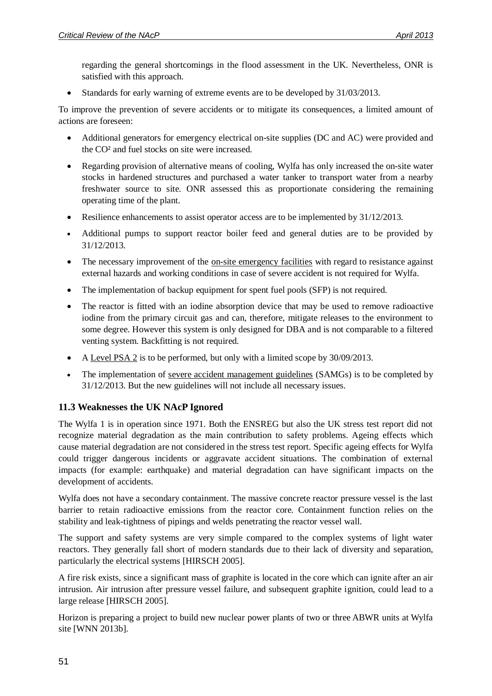regarding the general shortcomings in the flood assessment in the UK. Nevertheless, ONR is satisfied with this approach.

• Standards for early warning of extreme events are to be developed by  $31/03/2013$ .

To improve the prevention of severe accidents or to mitigate its consequences, a limited amount of actions are foreseen:

- Additional generators for emergency electrical on-site supplies (DC and AC) were provided and the CO² and fuel stocks on site were increased.
- Regarding provision of alternative means of cooling, Wylfa has only increased the on-site water stocks in hardened structures and purchased a water tanker to transport water from a nearby freshwater source to site. ONR assessed this as proportionate considering the remaining operating time of the plant.
- Resilience enhancements to assist operator access are to be implemented by 31/12/2013.
- Additional pumps to support reactor boiler feed and general duties are to be provided by 31/12/2013.
- The necessary improvement of the on-site emergency facilities with regard to resistance against external hazards and working conditions in case of severe accident is not required for Wylfa.
- The implementation of backup equipment for spent fuel pools (SFP) is not required.
- The reactor is fitted with an iodine absorption device that may be used to remove radioactive iodine from the primary circuit gas and can, therefore, mitigate releases to the environment to some degree. However this system is only designed for DBA and is not comparable to a filtered venting system. Backfitting is not required.
- A Level PSA 2 is to be performed, but only with a limited scope by 30/09/2013.
- The implementation of severe accident management guidelines (SAMGs) is to be completed by 31/12/2013. But the new guidelines will not include all necessary issues.

### <span id="page-50-0"></span>**11.3 Weaknesses the UK NAcP Ignored**

The Wylfa 1 is in operation since 1971. Both the ENSREG but also the UK stress test report did not recognize material degradation as the main contribution to safety problems. Ageing effects which cause material degradation are not considered in the stress test report. Specific ageing effects for Wylfa could trigger dangerous incidents or aggravate accident situations. The combination of external impacts (for example: earthquake) and material degradation can have significant impacts on the development of accidents.

Wylfa does not have a secondary containment. The massive concrete reactor pressure vessel is the last barrier to retain radioactive emissions from the reactor core. Containment function relies on the stability and leak-tightness of pipings and welds penetrating the reactor vessel wall.

The support and safety systems are very simple compared to the complex systems of light water reactors. They generally fall short of modern standards due to their lack of diversity and separation, particularly the electrical systems [HIRSCH 2005].

A fire risk exists, since a significant mass of graphite is located in the core which can ignite after an air intrusion. Air intrusion after pressure vessel failure, and subsequent graphite ignition, could lead to a large release [HIRSCH 2005].

Horizon is preparing a project to build new nuclear power plants of two or three ABWR units at Wylfa site [WNN 2013b].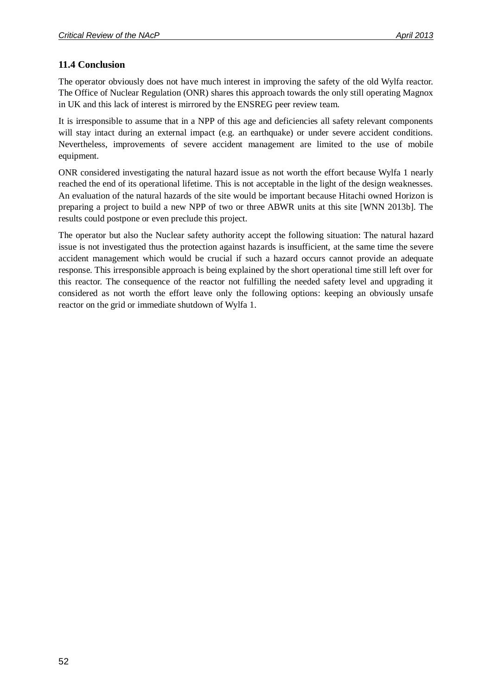### <span id="page-51-0"></span>**11.4 Conclusion**

The operator obviously does not have much interest in improving the safety of the old Wylfa reactor. The Office of Nuclear Regulation (ONR) shares this approach towards the only still operating Magnox in UK and this lack of interest is mirrored by the ENSREG peer review team.

It is irresponsible to assume that in a NPP of this age and deficiencies all safety relevant components will stay intact during an external impact (e.g. an earthquake) or under severe accident conditions. Nevertheless, improvements of severe accident management are limited to the use of mobile equipment.

ONR considered investigating the natural hazard issue as not worth the effort because Wylfa 1 nearly reached the end of its operational lifetime. This is not acceptable in the light of the design weaknesses. An evaluation of the natural hazards of the site would be important because Hitachi owned Horizon is preparing a project to build a new NPP of two or three ABWR units at this site [WNN 2013b]. The results could postpone or even preclude this project.

The operator but also the Nuclear safety authority accept the following situation: The natural hazard issue is not investigated thus the protection against hazards is insufficient, at the same time the severe accident management which would be crucial if such a hazard occurs cannot provide an adequate response. This irresponsible approach is being explained by the short operational time still left over for this reactor. The consequence of the reactor not fulfilling the needed safety level and upgrading it considered as not worth the effort leave only the following options: keeping an obviously unsafe reactor on the grid or immediate shutdown of Wylfa 1.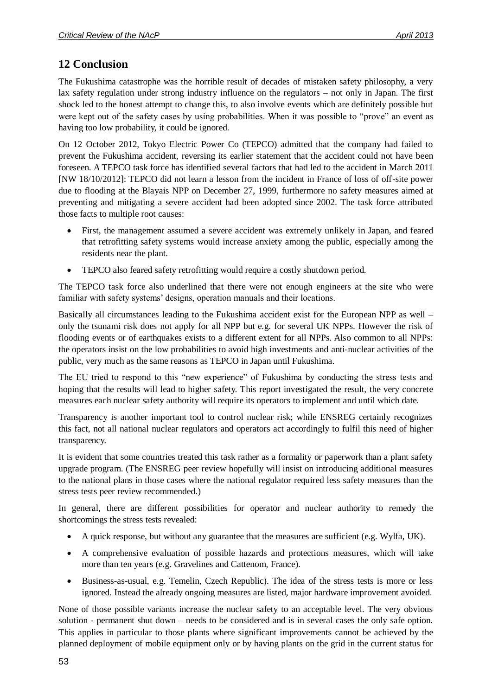# <span id="page-52-0"></span>**12 Conclusion**

The Fukushima catastrophe was the horrible result of decades of mistaken safety philosophy, a very lax safety regulation under strong industry influence on the regulators – not only in Japan. The first shock led to the honest attempt to change this, to also involve events which are definitely possible but were kept out of the safety cases by using probabilities. When it was possible to "prove" an event as having too low probability, it could be ignored.

On 12 October 2012, Tokyo Electric Power Co (TEPCO) admitted that the company had failed to prevent the Fukushima accident, reversing its earlier statement that the accident could not have been foreseen. A TEPCO task force has identified several factors that had led to the accident in March 2011 [NW 18/10/2012]: TEPCO did not learn a lesson from the incident in France of loss of off-site power due to flooding at the Blayais NPP on December 27, 1999, furthermore no safety measures aimed at preventing and mitigating a severe accident had been adopted since 2002. The task force attributed those facts to multiple root causes:

- First, the management assumed a severe accident was extremely unlikely in Japan, and feared that retrofitting safety systems would increase anxiety among the public, especially among the residents near the plant.
- TEPCO also feared safety retrofitting would require a costly shutdown period.

The TEPCO task force also underlined that there were not enough engineers at the site who were familiar with safety systems' designs, operation manuals and their locations.

Basically all circumstances leading to the Fukushima accident exist for the European NPP as well – only the tsunami risk does not apply for all NPP but e.g. for several UK NPPs. However the risk of flooding events or of earthquakes exists to a different extent for all NPPs. Also common to all NPPs: the operators insist on the low probabilities to avoid high investments and anti-nuclear activities of the public, very much as the same reasons as TEPCO in Japan until Fukushima.

The EU tried to respond to this "new experience" of Fukushima by conducting the stress tests and hoping that the results will lead to higher safety. This report investigated the result, the very concrete measures each nuclear safety authority will require its operators to implement and until which date.

Transparency is another important tool to control nuclear risk; while ENSREG certainly recognizes this fact, not all national nuclear regulators and operators act accordingly to fulfil this need of higher transparency.

It is evident that some countries treated this task rather as a formality or paperwork than a plant safety upgrade program. (The ENSREG peer review hopefully will insist on introducing additional measures to the national plans in those cases where the national regulator required less safety measures than the stress tests peer review recommended.)

In general, there are different possibilities for operator and nuclear authority to remedy the shortcomings the stress tests revealed:

- A quick response, but without any guarantee that the measures are sufficient (e.g. Wylfa, UK).
- A comprehensive evaluation of possible hazards and protections measures, which will take more than ten years (e.g. Gravelines and Cattenom, France).
- Business-as-usual, e.g. Temelin, Czech Republic). The idea of the stress tests is more or less ignored. Instead the already ongoing measures are listed, major hardware improvement avoided.

None of those possible variants increase the nuclear safety to an acceptable level. The very obvious solution - permanent shut down – needs to be considered and is in several cases the only safe option. This applies in particular to those plants where significant improvements cannot be achieved by the planned deployment of mobile equipment only or by having plants on the grid in the current status for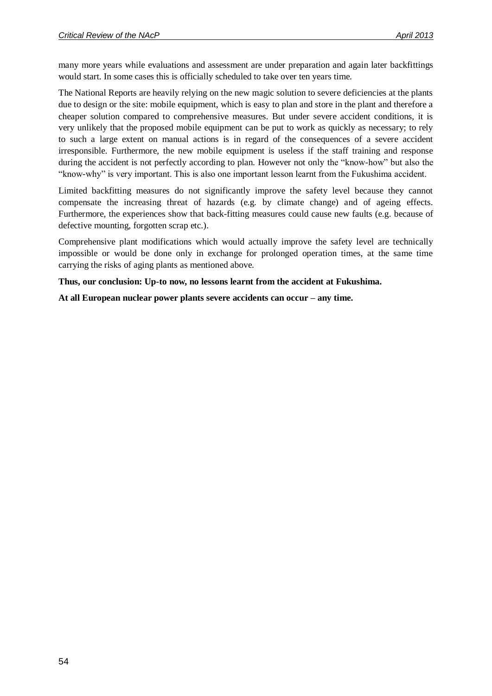many more years while evaluations and assessment are under preparation and again later backfittings would start. In some cases this is officially scheduled to take over ten years time.

The National Reports are heavily relying on the new magic solution to severe deficiencies at the plants due to design or the site: mobile equipment, which is easy to plan and store in the plant and therefore a cheaper solution compared to comprehensive measures. But under severe accident conditions, it is very unlikely that the proposed mobile equipment can be put to work as quickly as necessary; to rely to such a large extent on manual actions is in regard of the consequences of a severe accident irresponsible. Furthermore, the new mobile equipment is useless if the staff training and response during the accident is not perfectly according to plan. However not only the "know-how" but also the "know-why" is very important. This is also one important lesson learnt from the Fukushima accident.

Limited backfitting measures do not significantly improve the safety level because they cannot compensate the increasing threat of hazards (e.g. by climate change) and of ageing effects. Furthermore, the experiences show that back-fitting measures could cause new faults (e.g. because of defective mounting, forgotten scrap etc.).

Comprehensive plant modifications which would actually improve the safety level are technically impossible or would be done only in exchange for prolonged operation times, at the same time carrying the risks of aging plants as mentioned above.

**Thus, our conclusion: Up-to now, no lessons learnt from the accident at Fukushima.**

**At all European nuclear power plants severe accidents can occur – any time.**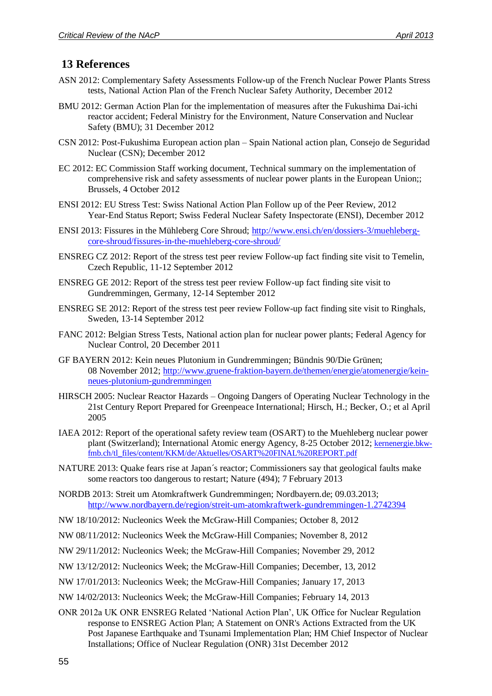# <span id="page-54-0"></span>**13 References**

- ASN 2012: Complementary Safety Assessments Follow-up of the French Nuclear Power Plants Stress tests, National Action Plan of the French Nuclear Safety Authority, December 2012
- BMU 2012: German Action Plan for the implementation of measures after the Fukushima Dai-ichi reactor accident; Federal Ministry for the Environment, Nature Conservation and Nuclear Safety (BMU); 31 December 2012
- CSN 2012: Post-Fukushima European action plan Spain National action plan, Consejo de Seguridad Nuclear (CSN); December 2012
- EC 2012: EC Commission Staff working document, Technical summary on the implementation of comprehensive risk and safety assessments of nuclear power plants in the European Union;; Brussels, 4 October 2012
- ENSI 2012: EU Stress Test: Swiss National Action Plan Follow up of the Peer Review, 2012 Year‐End Status Report; Swiss Federal Nuclear Safety Inspectorate (ENSI), December 2012
- ENSI 2013: Fissures in the Mühleberg Core Shroud; [http://www.ensi.ch/en/dossiers-3/muehleberg](http://www.ensi.ch/en/dossiers-3/muehleberg-core-shroud/fissures-in-the-muehleberg-core-shroud/)[core-shroud/fissures-in-the-muehleberg-core-shroud/](http://www.ensi.ch/en/dossiers-3/muehleberg-core-shroud/fissures-in-the-muehleberg-core-shroud/)
- ENSREG CZ 2012: Report of the stress test peer review Follow-up fact finding site visit to Temelin, Czech Republic, 11-12 September 2012
- ENSREG GE 2012: Report of the stress test peer review Follow-up fact finding site visit to Gundremmingen, Germany, 12-14 September 2012
- ENSREG SE 2012: Report of the stress test peer review Follow-up fact finding site visit to Ringhals, Sweden, 13-14 September 2012
- FANC 2012: Belgian Stress Tests, National action plan for nuclear power plants; Federal Agency for Nuclear Control, 20 December 2011
- GF BAYERN 2012: Kein neues Plutonium in Gundremmingen; Bündnis 90/Die Grünen; 08 November 2012; [http://www.gruene-fraktion-bayern.de/themen/energie/atomenergie/kein](http://www.gruene-fraktion-bayern.de/themen/energie/atomenergie/kein-neues-plutonium-gundremmingen)[neues-plutonium-gundremmingen](http://www.gruene-fraktion-bayern.de/themen/energie/atomenergie/kein-neues-plutonium-gundremmingen)
- HIRSCH 2005: Nuclear Reactor Hazards Ongoing Dangers of Operating Nuclear Technology in the 21st Century Report Prepared for Greenpeace International; Hirsch, H.; Becker, O.; et al April 2005
- IAEA 2012: Report of the operational safety review team (OSART) to the Muehleberg nuclear power plant (Switzerland); International Atomic energy Agency, 8-25 October 2012; [kernenergie.bkw](http://kernenergie.bkw-fmb.ch/tl_files/content/KKM/de/Aktuelles/OSART%20FINAL%20REPORT.pdf)[fmb.ch/tl\\_files/content/KKM/de/Aktuelles/OSART%20FINAL%20REPORT.pdf](http://kernenergie.bkw-fmb.ch/tl_files/content/KKM/de/Aktuelles/OSART%20FINAL%20REPORT.pdf)
- NATURE 2013: Quake fears rise at Japan´s reactor; Commissioners say that geological faults make some reactors too dangerous to restart; Nature (494); 7 February 2013
- NORDB 2013: Streit um Atomkraftwerk Gundremmingen; Nordbayern.de; 09.03.2013; <http://www.nordbayern.de/region/streit-um-atomkraftwerk-gundremmingen-1.2742394>
- NW 18/10/2012: Nucleonics Week the McGraw-Hill Companies; October 8, 2012
- NW 08/11/2012: Nucleonics Week the McGraw-Hill Companies; November 8, 2012
- NW 29/11/2012: Nucleonics Week; the McGraw-Hill Companies; November 29, 2012
- NW 13/12/2012: Nucleonics Week; the McGraw-Hill Companies; December, 13, 2012
- NW 17/01/2013: Nucleonics Week; the McGraw-Hill Companies; January 17, 2013
- NW 14/02/2013: Nucleonics Week; the McGraw-Hill Companies; February 14, 2013
- ONR 2012a UK ONR ENSREG Related 'National Action Plan', UK Office for Nuclear Regulation response to ENSREG Action Plan; A Statement on ONR's Actions Extracted from the UK Post Japanese Earthquake and Tsunami Implementation Plan; HM Chief Inspector of Nuclear Installations; Office of Nuclear Regulation (ONR) 31st December 2012